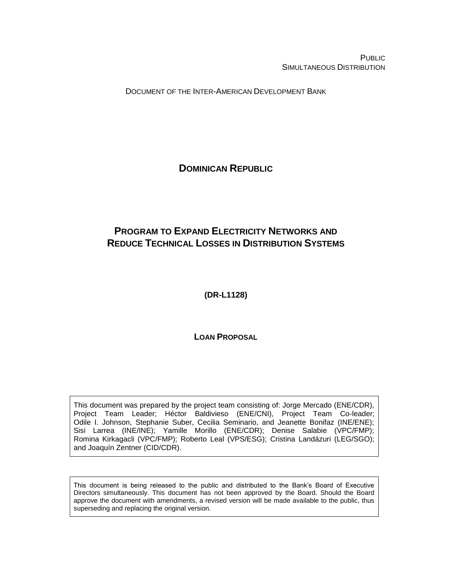PUBLIC SIMULTANEOUS DISTRIBUTION

DOCUMENT OF THE INTER-AMERICAN DEVELOPMENT BANK

<span id="page-0-0"></span>**DOMINICAN REPUBLIC**

# <span id="page-0-1"></span>**PROGRAM TO EXPAND ELECTRICITY NETWORKS AND REDUCE TECHNICAL LOSSES IN DISTRIBUTION SYSTEMS**

<span id="page-0-2"></span>**(DR-L1128)**

**LOAN PROPOSAL**

This document was prepared by the project team consisting of: Jorge Mercado (ENE/CDR), Project Team Leader; Héctor Baldivieso (ENE/CNI), Project Team Co-leader; Odile I. Johnson, Stephanie Suber, Cecilia Seminario, and Jeanette Bonifaz (INE/ENE); Sisi Larrea (INE/INE); Yamille Morillo (ENE/CDR); Denise Salabie (VPC/FMP); Romina Kirkagacli (VPC/FMP); Roberto Leal (VPS/ESG); Cristina Landázuri (LEG/SGO); and Joaquín Zentner (CID/CDR).

This document is being released to the public and distributed to the Bank's Board of Executive Directors simultaneously. This document has not been approved by the Board. Should the Board approve the document with amendments, a revised version will be made available to the public, thus superseding and replacing the original version.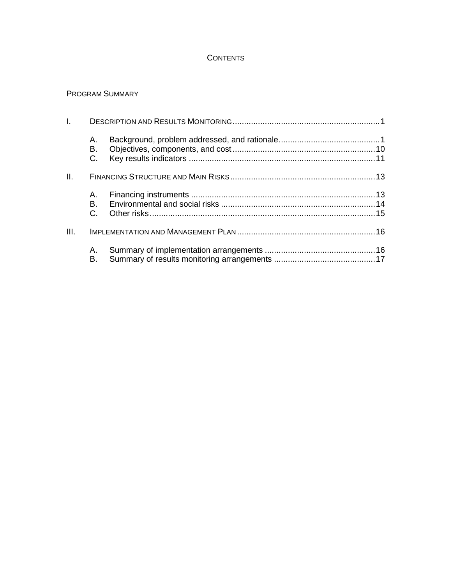### **CONTENTS**

### PROGRAM SUMMARY

| L.   |                |  |
|------|----------------|--|
|      | А.<br>В.<br>C. |  |
| II.  |                |  |
|      | А.             |  |
|      | B.<br>$C_{1}$  |  |
| III. |                |  |
|      | А.<br>В.       |  |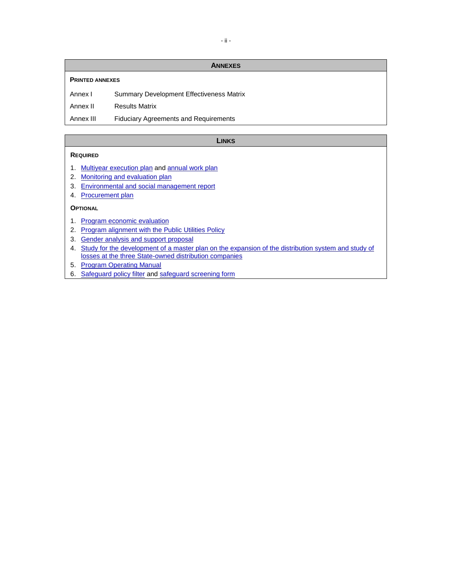### **ANNEXES**

### **PRINTED ANNEXES**

Annex I Summary Development Effectiveness Matrix

Annex II Results Matrix

Annex III Fiduciary Agreements and Requirements

### **LINKS**

### **REQUIRED**

- 1. [Multiyear execution plan](https://idbg.sharepoint.com/teams/EZ-DR-LON/DR-L1128/_layouts/15/DocIdRedir.aspx?ID=EZSHARE-1070525477-38) and [annual work plan](https://idbg.sharepoint.com/teams/EZ-DR-LON/DR-L1128/_layouts/15/DocIdRedir.aspx?ID=EZSHARE-1070525477-26)
- 2. [Monitoring and evaluation plan](https://idbg.sharepoint.com/teams/EZ-DR-LON/DR-L1128/_layouts/15/DocIdRedir.aspx?ID=EZSHARE-1070525477-28)
- 3. [Environmental and social management report](https://idbg.sharepoint.com/teams/EZ-DR-LON/DR-L1128/_layouts/15/DocIdRedir.aspx?ID=EZSHARE-1070525477-29)
- 4. [Procurement plan](https://idbg.sharepoint.com/teams/EZ-DR-LON/DR-L1128/_layouts/15/DocIdRedir.aspx?ID=EZSHARE-1070525477-25)

### **OPTIONAL**

- 1. [Program economic evaluation](https://idbg.sharepoint.com/teams/EZ-DR-LON/DR-L1128/_layouts/15/DocIdRedir.aspx?ID=EZSHARE-1070525477-30)
- 2. [Program alignment with the Public Utilities Policy](https://idbg.sharepoint.com/teams/EZ-DR-LON/DR-L1128/_layouts/15/DocIdRedir.aspx?ID=EZSHARE-1070525477-34)
- 3. [Gender analysis and support proposal](https://idbg.sharepoint.com/teams/EZ-DR-LON/DR-L1128/_layouts/15/DocIdRedir.aspx?ID=EZSHARE-1070525477-36)
- 4. Study for the [development of a master plan on the expansion of the distribution system and study of](https://idbg.sharepoint.com/teams/EZ-DR-LON/DR-L1128/_layouts/15/DocIdRedir.aspx?ID=EZSHARE-1070525477-37)  [losses at the three State-owned distribution companies](https://idbg.sharepoint.com/teams/EZ-DR-LON/DR-L1128/_layouts/15/DocIdRedir.aspx?ID=EZSHARE-1070525477-37)
- 5. [Program Operating Manual](https://idbg.sharepoint.com/teams/EZ-DR-LON/DR-L1128/_layouts/15/DocIdRedir.aspx?ID=EZSHARE-1070525477-50)
- 6. [Safeguard policy filter](http://idbdocs.iadb.org/wsdocs/getDocument.aspx?DOCNUM=EZSHARE-225723371-22) and [safeguard screening form](http://idbdocs.iadb.org/wsdocs/getDocument.aspx?DOCNUM=EZSHARE-225723371-23)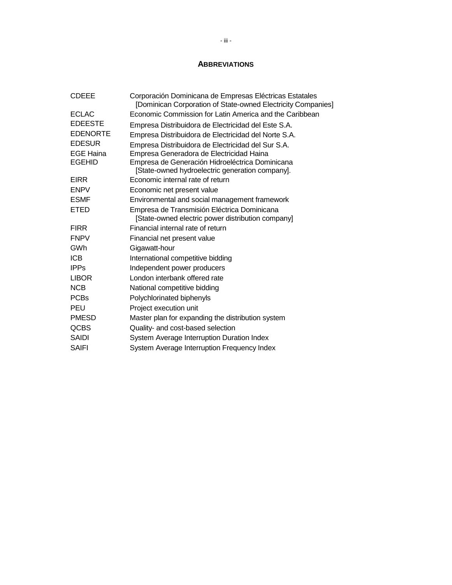### **ABBREVIATIONS**

| <b>CDEEE</b>     | Corporación Dominicana de Empresas Eléctricas Estatales<br>[Dominican Corporation of State-owned Electricity Companies] |
|------------------|-------------------------------------------------------------------------------------------------------------------------|
| <b>ECLAC</b>     | Economic Commission for Latin America and the Caribbean                                                                 |
| <b>EDEESTE</b>   | Empresa Distribuidora de Electricidad del Este S.A.                                                                     |
| <b>EDENORTE</b>  | Empresa Distribuidora de Electricidad del Norte S.A.                                                                    |
| <b>EDESUR</b>    | Empresa Distribuidora de Electricidad del Sur S.A.                                                                      |
| <b>EGE Haina</b> | Empresa Generadora de Electricidad Haina                                                                                |
| <b>EGEHID</b>    | Empresa de Generación Hidroeléctrica Dominicana<br>[State-owned hydroelectric generation company].                      |
| <b>EIRR</b>      | Economic internal rate of return                                                                                        |
| <b>ENPV</b>      | Economic net present value                                                                                              |
| <b>ESMF</b>      | Environmental and social management framework                                                                           |
| ETED             | Empresa de Transmisión Eléctrica Dominicana<br>[State-owned electric power distribution company]                        |
| <b>FIRR</b>      | Financial internal rate of return                                                                                       |
| <b>FNPV</b>      | Financial net present value                                                                                             |
| GWh              | Gigawatt-hour                                                                                                           |
| <b>ICB</b>       | International competitive bidding                                                                                       |
| <b>IPPs</b>      | Independent power producers                                                                                             |
| <b>LIBOR</b>     | London interbank offered rate                                                                                           |
| <b>NCB</b>       | National competitive bidding                                                                                            |
| <b>PCBs</b>      | Polychlorinated biphenyls                                                                                               |
| <b>PEU</b>       | Project execution unit                                                                                                  |
| <b>PMESD</b>     | Master plan for expanding the distribution system                                                                       |
| <b>QCBS</b>      | Quality- and cost-based selection                                                                                       |
| <b>SAIDI</b>     | System Average Interruption Duration Index                                                                              |
| <b>SAIFI</b>     | System Average Interruption Frequency Index                                                                             |
|                  |                                                                                                                         |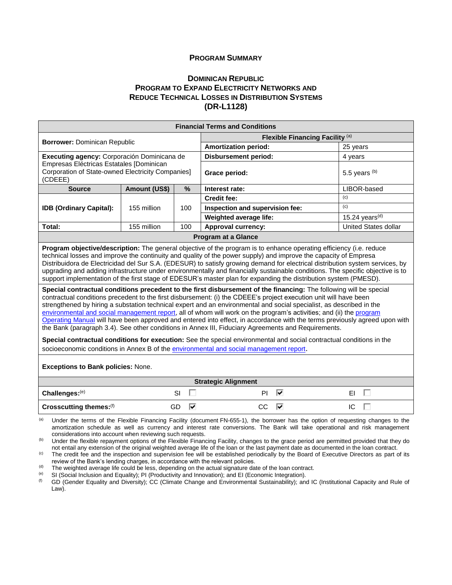### **PROGRAM SUMMARY**

### **D[OMINICAN](#page-0-0) REPUBLIC PROGRAM TO EXPAND ELECTRICITY N[ETWORKS AND](#page-0-1) REDUCE T[ECHNICAL](#page-0-1) LOSSES IN DISTRIBUTION SYSTEMS [\(DR-L1128\)](#page-0-2)**

| <b>Financial Terms and Conditions</b>                                                                    |               |      |                                 |                             |  |  |  |  |  |  |
|----------------------------------------------------------------------------------------------------------|---------------|------|---------------------------------|-----------------------------|--|--|--|--|--|--|
|                                                                                                          |               |      | Flexible Financing Facility (a) |                             |  |  |  |  |  |  |
| <b>Borrower: Dominican Republic</b>                                                                      |               |      | <b>Amortization period:</b>     | 25 years                    |  |  |  |  |  |  |
| Executing agency: Corporación Dominicana de                                                              |               |      | <b>Disbursement period:</b>     | 4 years                     |  |  |  |  |  |  |
| Empresas Eléctricas Estatales [Dominican<br>Corporation of State-owned Electricity Companies]<br>(CDEEE) |               |      | Grace period:                   | 5.5 years $(b)$             |  |  |  |  |  |  |
| <b>Source</b>                                                                                            | Amount (US\$) | $\%$ | Interest rate:                  | LIBOR-based                 |  |  |  |  |  |  |
|                                                                                                          |               |      | <b>Credit fee:</b>              | (c)                         |  |  |  |  |  |  |
| <b>IDB (Ordinary Capital):</b>                                                                           | 155 million   | 100  | Inspection and supervision fee: | (c)                         |  |  |  |  |  |  |
|                                                                                                          |               |      | Weighted average life:          | 15.24 years $(d)$           |  |  |  |  |  |  |
| Total:                                                                                                   | 155 million   | 100  | <b>Approval currency:</b>       | <b>United States dollar</b> |  |  |  |  |  |  |
| <b>Program at a Glance</b>                                                                               |               |      |                                 |                             |  |  |  |  |  |  |

**Program objective/description:** The general objective of the program is to enhance operating efficiency (i.e. reduce technical losses and improve the continuity and quality of the power supply) and improve the capacity of Empresa Distribuidora de Electricidad del Sur S.A. (EDESUR) to satisfy growing demand for electrical distribution system services, by upgrading and adding infrastructure under environmentally and financially sustainable conditions. The specific objective is to support implementation of the first stage of EDESUR's master plan for expanding the distribution system (PMESD).

**Special contractual conditions precedent to the first disbursement of the financing:** The following will be special contractual conditions precedent to the first disbursement: (i) the CDEEE's project execution unit will have been strengthened by hiring a substation technical expert and an environmental and social specialist, as described in the [environmental and social management report,](http://idbdocs.iadb.org/wsdocs/getDocument.aspx?DOCNUM=EZSHARE-1070525477-29) all of whom will work on the program's activities; and (ii) the [program](http://idbdocs.iadb.org/wsdocs/getDocument.aspx?DOCNUM=EZSHARE-1070525477-50)  [Operating Manual](http://idbdocs.iadb.org/wsdocs/getDocument.aspx?DOCNUM=EZSHARE-1070525477-50) will have been approved and entered into effect, in accordance with the terms previously agreed upon with the Bank (paragraph 3.4). See other conditions in Annex III, Fiduciary Agreements and Requirements.

**Special contractual conditions for execution:** See the special environmental and social contractual conditions in the socioeconomic conditions in Annex B of the [environmental and social management report](https://idbg.sharepoint.com/teams/EZ-DR-LON/DR-L1128/_layouts/15/DocIdRedir.aspx?ID=EZSHARE-1070525477-29).

**Exceptions to Bank policies:** None.

| <b>Strategic Alignment</b> |         |         |     |  |  |  |  |  |  |  |  |
|----------------------------|---------|---------|-----|--|--|--|--|--|--|--|--|
| Challenges: (e)            |         | ΡI<br>է |     |  |  |  |  |  |  |  |  |
| Crosscutting themes: (f)   | GC<br>Ⅳ | ↜       | IC. |  |  |  |  |  |  |  |  |

Under the terms of the Flexible Financing Facility (document FN-655-1), the borrower has the option of requesting changes to the amortization schedule as well as currency and interest rate conversions. The Bank will take operational and risk management considerations into account when reviewing such requests.

<sup>(b)</sup> Under the flexible repayment options of the Flexible Financing Facility, changes to the grace period are permitted provided that they do not entail any extension of the original weighted average life of the loan or the last payment date as documented in the loan contract.

<sup>(c)</sup> The credit fee and the inspection and supervision fee will be established periodically by the Board of Executive Directors as part of its review of the Bank's lending charges, in accordance with the relevant policies.

 $<sup>(d)</sup>$  The weighted average life could be less, depending on the actual signature date of the loan contract.</sup>

<sup>(e)</sup> SI (Social Inclusion and Equality); PI (Productivity and Innovation); and EI (Economic Integration).<br><sup>(f)</sup> GD (Gender Equality and Diversity): CC (Climate Change and Environmental Sustainability): an

GD (Gender Equality and Diversity); CC (Climate Change and Environmental Sustainability); and IC (Institutional Capacity and Rule of Law).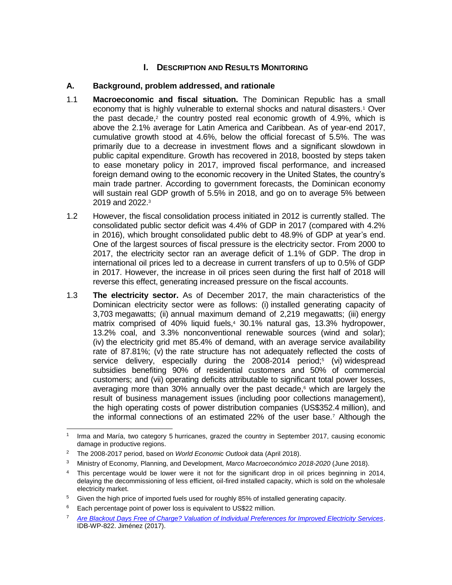# **I.** DESCRIPTION AND RESULTS MONITORING

### **A. Background, problem addressed, and rationale**

- 1.1 **Macroeconomic and fiscal situation.** The Dominican Republic has a small economy that is highly vulnerable to external shocks and natural disasters.<sup>1</sup> Over the past decade,<sup>2</sup> the country posted real economic growth of 4.9%, which is above the 2.1% average for Latin America and Caribbean. As of year-end 2017, cumulative growth stood at 4.6%, below the official forecast of 5.5%. The was primarily due to a decrease in investment flows and a significant slowdown in public capital expenditure. Growth has recovered in 2018, boosted by steps taken to ease monetary policy in 2017, improved fiscal performance, and increased foreign demand owing to the economic recovery in the United States, the country's main trade partner. According to government forecasts, the Dominican economy will sustain real GDP growth of 5.5% in 2018, and go on to average 5% between 2019 and 2022.<sup>3</sup>
- 1.2 However, the fiscal consolidation process initiated in 2012 is currently stalled. The consolidated public sector deficit was 4.4% of GDP in 2017 (compared with 4.2% in 2016), which brought consolidated public debt to 48.9% of GDP at year's end. One of the largest sources of fiscal pressure is the electricity sector. From 2000 to 2017, the electricity sector ran an average deficit of 1.1% of GDP. The drop in international oil prices led to a decrease in current transfers of up to 0.5% of GDP in 2017. However, the increase in oil prices seen during the first half of 2018 will reverse this effect, generating increased pressure on the fiscal accounts.
- 1.3 **The electricity sector.** As of December 2017, the main characteristics of the Dominican electricity sector were as follows: (i) installed generating capacity of 3,703 megawatts; (ii) annual maximum demand of 2,219 megawatts; (iii) energy matrix comprised of 40% liquid fuels,<sup>4</sup> 30.1% natural gas, 13.3% hydropower, 13.2% coal, and 3.3% nonconventional renewable sources (wind and solar); (iv) the electricity grid met 85.4% of demand, with an average service availability rate of 87.81%; (v) the rate structure has not adequately reflected the costs of service delivery, especially during the 2008-2014 period;<sup>5</sup> (vi) widespread subsidies benefiting 90% of residential customers and 50% of commercial customers; and (vii) operating deficits attributable to significant total power losses, averaging more than 30% annually over the past decade, <sup>6</sup> which are largely the result of business management issues (including poor collections management), the high operating costs of power distribution companies (US\$352.4 million), and the informal connections of an estimated 22% of the user base.<sup>7</sup> Although the

 $\overline{a}$ 1 Irma and María, two category 5 hurricanes, grazed the country in September 2017, causing economic damage in productive regions.

<sup>2</sup> The 2008-2017 period, based on *World Economic Outlook* data (April 2018).

<sup>3</sup> Ministry of Economy, Planning, and Development, *Marco Macroeconómico 2018-2020* (June 2018).

<sup>4</sup> This percentage would be lower were it not for the significant drop in oil prices beginning in 2014, delaying the decommissioning of less efficient, oil-fired installed capacity, which is sold on the wholesale electricity market.

Given the high price of imported fuels used for roughly 85% of installed generating capacity.

<sup>&</sup>lt;sup>6</sup> Each percentage point of power loss is equivalent to US\$22 million.

<sup>7</sup> *[Are Blackout Days Free of Charge? Valuation of Individual Preferences for Improved Electricity Services](https://publications.iadb.org/handle/11319/8424)*. IDB-WP-822. Jiménez (2017).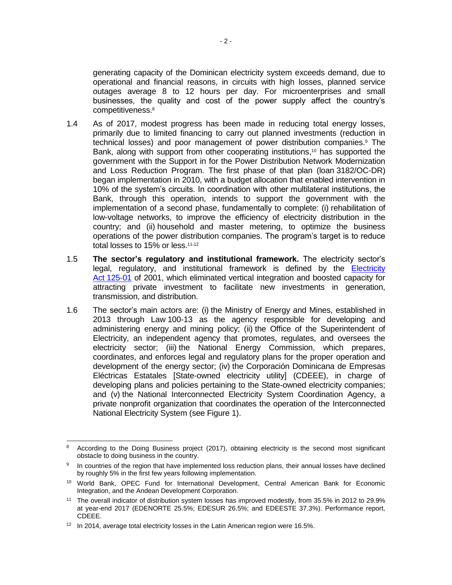generating capacity of the Dominican electricity system exceeds demand, due to operational and financial reasons, in circuits with high losses, planned service outages average 8 to 12 hours per day. For microenterprises and small businesses, the quality and cost of the power supply affect the country's competitiveness.<sup>8</sup>

- 1.4 As of 2017, modest progress has been made in reducing total energy losses, primarily due to limited financing to carry out planned investments (reduction in technical losses) and poor management of power distribution companies. <sup>9</sup> The Bank, along with support from other cooperating institutions, <sup>10</sup> has supported the government with the Support in for the Power Distribution Network Modernization and Loss Reduction Program. The first phase of that plan (loan 3182/OC-DR) began implementation in 2010, with a budget allocation that enabled intervention in 10% of the system's circuits. In coordination with other multilateral institutions, the Bank, through this operation, intends to support the government with the implementation of a second phase, fundamentally to complete: (i) rehabilitation of low-voltage networks, to improve the efficiency of electricity distribution in the country; and (ii) household and master metering, to optimize the business operations of the power distribution companies. The program's target is to reduce total losses to 15% or less.<sup>11,12</sup>
- 1.5 **The sector's regulatory and institutional framework.** The electricity sector's legal, regulatory, and institutional framework is defined by the **[Electricity](https://idbg.sharepoint.com/teams/EZ-DR-LON/DR-L1058/_layouts/15/DocIdRedir.aspx?ID=EZSHARE-2128231034-29)** Act [125-01](https://idbg.sharepoint.com/teams/EZ-DR-LON/DR-L1058/_layouts/15/DocIdRedir.aspx?ID=EZSHARE-2128231034-29) of 2001, which eliminated vertical integration and boosted capacity for attracting private investment to facilitate new investments in generation, transmission, and distribution.
- 1.6 The sector's main actors are: (i) the Ministry of Energy and Mines, established in 2013 through Law [100-13](http://www.cne.gob.do/wp-content/uploads/2015/11/Ley-No.-100-13-Ministerio-de-Energia-y-Minas.pdf) as the agency responsible for developing and administering energy and mining policy; (ii) the Office of the Superintendent of Electricity, an independent agency that promotes, regulates, and oversees the electricity sector; (iii) the National Energy Commission, which prepares, coordinates, and enforces legal and regulatory plans for the proper operation and development of the energy sector; (iv) the Corporación Dominicana de Empresas Eléctricas Estatales [State-owned electricity utility] (CDEEE), in charge of developing plans and policies pertaining to the State-owned electricity companies; and (v) the National Interconnected Electricity System Coordination Agency, a private nonprofit organization that coordinates the operation of the Interconnected National Electricity System (see Figure 1).

 <sup>8</sup> According to the Doing Business project (2017), obtaining electricity is the second most significant obstacle to doing business in the country.

<sup>9</sup> In countries of the region that have implemented loss reduction plans, their annual losses have declined by roughly 5% in the first few years following implementation.

<sup>10</sup> World Bank, OPEC Fund for International Development, Central American Bank for Economic Integration, and the Andean Development Corporation.

<sup>11</sup> The overall indicator of distribution system losses has improved modestly, from 35.5% in 2012 to 29.9% at year-end 2017 (EDENORTE 25.5%; EDESUR 26.5%; and EDEESTE 37.3%). Performance report, CDEEE.

<sup>&</sup>lt;sup>12</sup> In 2014, average total electricity losses in the Latin American region were 16.5%.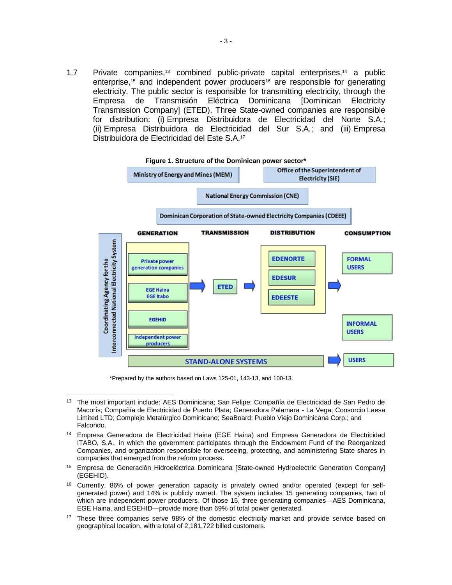1.7 Private companies, <sup>13</sup> combined public-private capital enterprises, <sup>14</sup> a public enterprise,<sup>15</sup> and independent power producers<sup>16</sup> are responsible for generating electricity. The public sector is responsible for transmitting electricity, through the Empresa de Transmisión Eléctrica Dominicana [Dominican Electricity Transmission Company] (ETED). Three State-owned companies are responsible for distribution: (i) Empresa Distribuidora de Electricidad del Norte S.A.; (ii) Empresa Distribuidora de Electricidad del Sur S.A.; and (iii) Empresa Distribuidora de Electricidad del Este S.A.<sup>17</sup>



\*Prepared by the authors based on Laws 125-01, 143-13, and 100-13.

- <sup>16</sup> Currently, 86% of power generation capacity is privately owned and/or operated (except for selfgenerated power) and 14% is publicly owned. The system includes 15 generating companies, two of which are independent power producers. Of those 15, three generating companies—AES Dominicana, EGE Haina, and EGEHID—provide more than 69% of total power generated.
- <sup>17</sup> These three companies serve 98% of the domestic electricity market and provide service based on geographical location, with a total of 2,181,722 billed customers.

 $\overline{a}$ <sup>13</sup> The most important include: AES Dominicana; San Felipe; Compañía de Electricidad de San Pedro de Macorís; Compañía de Electricidad de Puerto Plata; Generadora Palamara - La Vega; Consorcio Laesa Limited LTD; Complejo Metalúrgico Dominicano; SeaBoard; Pueblo Viejo Dominicana Corp.; and Falcondo.

<sup>14</sup> Empresa Generadora de Electricidad Haina (EGE Haina) and Empresa Generadora de Electricidad ITABO, S.A., in which the government participates through the Endowment Fund of the Reorganized Companies, and organization responsible for overseeing, protecting, and administering State shares in companies that emerged from the reform process.

<sup>&</sup>lt;sup>15</sup> Empresa de Generación Hidroeléctrica Dominicana [State-owned Hydroelectric Generation Company] (EGEHID).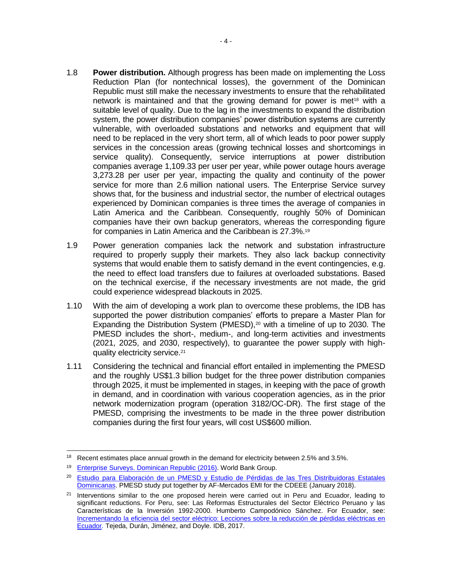- 1.8 **Power distribution.** Although progress has been made on implementing the Loss Reduction Plan (for nontechnical losses), the government of the Dominican Republic must still make the necessary investments to ensure that the rehabilitated network is maintained and that the growing demand for power is met<sup>18</sup> with a suitable level of quality. Due to the lag in the investments to expand the distribution system, the power distribution companies' power distribution systems are currently vulnerable, with overloaded substations and networks and equipment that will need to be replaced in the very short term, all of which leads to poor power supply services in the concession areas (growing technical losses and shortcomings in service quality). Consequently, service interruptions at power distribution companies average 1,109.33 per user per year, while power outage hours average 3,273.28 per user per year, impacting the quality and continuity of the power service for more than 2.6 million national users. The Enterprise Service survey shows that, for the business and industrial sector, the number of electrical outages experienced by Dominican companies is three times the average of companies in Latin America and the Caribbean. Consequently, roughly 50% of Dominican companies have their own backup generators, whereas the corresponding figure for companies in Latin America and the Caribbean is 27.3%.<sup>19</sup>
- 1.9 Power generation companies lack the network and substation infrastructure required to properly supply their markets. They also lack backup connectivity systems that would enable them to satisfy demand in the event contingencies, e.g. the need to effect load transfers due to failures at overloaded substations. Based on the technical exercise, if the necessary investments are not made, the grid could experience widespread blackouts in 2025.
- 1.10 With the aim of developing a work plan to overcome these problems, the IDB has supported the power distribution companies' efforts to prepare a Master Plan for Expanding the Distribution System (PMESD), $20$  with a timeline of up to 2030. The PMESD includes the short-, medium-, and long-term activities and investments (2021, 2025, and 2030, respectively), to guarantee the power supply with highquality electricity service.<sup>21</sup>
- 1.11 Considering the technical and financial effort entailed in implementing the PMESD and the roughly US\$1.3 billion budget for the three power distribution companies through 2025, it must be implemented in stages, in keeping with the pace of growth in demand, and in coordination with various cooperation agencies, as in the prior network modernization program (operation 3182/OC-DR). The first stage of the PMESD, comprising the investments to be made in the three power distribution companies during the first four years, will cost US\$600 million.

 $\overline{a}$ 

<sup>&</sup>lt;sup>18</sup> Recent estimates place annual growth in the demand for electricity between 2.5% and 3.5%.

<sup>19</sup> [Enterprise Surveys. Dominican Republic \(2016\).](http://www.enterprisesurveys.org/data/exploreeconomies/2016/dominican-republic#infrastructure) World Bank Group.

<sup>20</sup> [Estudio para Elaboración de un PMESD y Estudio de Pérdidas de las Tres Distribuidoras Estatales](https://idbg.sharepoint.com/teams/EZ-DR-LON/DR-L1128/_layouts/15/DocIdRedir.aspx?ID=EZSHARE-1070525477-37)  [Dominicanas.](https://idbg.sharepoint.com/teams/EZ-DR-LON/DR-L1128/_layouts/15/DocIdRedir.aspx?ID=EZSHARE-1070525477-37) PMESD study put together by AF-Mercados EMI for the CDEEE (January 2018).

<sup>&</sup>lt;sup>21</sup> Interventions similar to the one proposed herein were carried out in Peru and Ecuador, leading to significant reductions. For Peru, see: Las Reformas Estructurales del Sector Eléctrico Peruano y las Características de la Inversión 1992-2000. Humberto Campodónico Sánchez. For Ecuador, see: [Incrementando la eficiencia del sector eléctrico: Lecciones sobre la reducción de pérdidas eléctricas en](https://publications.iadb.org/handle/11319/8525)  [Ecuador](https://publications.iadb.org/handle/11319/8525)*.* Tejeda, Durán, Jiménez, and Doyle. IDB, 2017.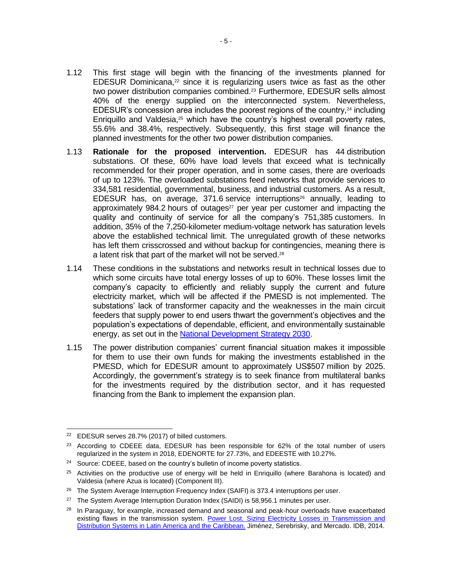- 1.12 This first stage will begin with the financing of the investments planned for EDESUR Dominicana, $22$  since it is regularizing users twice as fast as the other two power distribution companies combined.<sup>23</sup> Furthermore, EDESUR sells almost 40% of the energy supplied on the interconnected system. Nevertheless, EDESUR's concession area includes the poorest regions of the country, $24$  including Enriquillo and Valdesia,<sup>25</sup> which have the country's highest overall poverty rates, 55.6% and 38.4%, respectively. Subsequently, this first stage will finance the planned investments for the other two power distribution companies.
- 1.13 **Rationale for the proposed intervention.** EDESUR has 44 distribution substations. Of these, 60% have load levels that exceed what is technically recommended for their proper operation, and in some cases, there are overloads of up to 123%. The overloaded substations feed networks that provide services to 334,581 residential, governmental, business, and industrial customers. As a result, EDESUR has, on average, 371.6 service interruptions<sup>26</sup> annually, leading to approximately 984.2 hours of outages<sup>27</sup> per year per customer and impacting the quality and continuity of service for all the company's 751,385 customers. In addition, 35% of the 7,250-kilometer medium-voltage network has saturation levels above the established technical limit. The unregulated growth of these networks has left them crisscrossed and without backup for contingencies, meaning there is a latent risk that part of the market will not be served. 28
- 1.14 These conditions in the substations and networks result in technical losses due to which some circuits have total energy losses of up to 60%. These losses limit the company's capacity to efficiently and reliably supply the current and future electricity market, which will be affected if the PMESD is not implemented. The substations' lack of transformer capacity and the weaknesses in the main circuit feeders that supply power to end users thwart the government's objectives and the population's expectations of dependable, efficient, and environmentally sustainable energy, as set out in the [National Development Strategy 2030.](http://economia.gob.do/mepyd/wp-content/uploads/archivos/end/marco-legal/ley-estrategia-nacional-de-desarrollo.pdf)
- 1.15 The power distribution companies' current financial situation makes it impossible for them to use their own funds for making the investments established in the PMESD, which for EDESUR amount to approximately US\$507 million by 2025. Accordingly, the government's strategy is to seek finance from multilateral banks for the investments required by the distribution sector, and it has requested financing from the Bank to implement the expansion plan.

<sup>22</sup> EDESUR serves 28.7% (2017) of billed customers.

 $23$  According to CDEEE data, EDESUR has been responsible for 62% of the total number of users regularized in the system in 2018, EDENORTE for 27.73%, and EDEESTE with 10.27%.

<sup>&</sup>lt;sup>24</sup> Source: CDEEE, based on the country's bulletin of income poverty statistics.

<sup>&</sup>lt;sup>25</sup> Activities on the productive use of energy will be held in Enriquillo (where Barahona is located) and Valdesia (where Azua is located) (Component III).

<sup>&</sup>lt;sup>26</sup> The System Average Interruption Frequency Index (SAIFI) is 373.4 interruptions per user.

<sup>&</sup>lt;sup>27</sup> The System Average Interruption Duration Index (SAIDI) is 58,956.1 minutes per user.

 $28$  In Paraguay, for example, increased demand and seasonal and peak-hour overloads have exacerbated existing flaws in the transmission system. [Power Lost. Sizing Electricity Losses in Transmission and](https://publications.iadb.org/handle/11319/6689)  [Distribution Systems in Latin America and the Caribbean.](https://publications.iadb.org/handle/11319/6689) Jiménez, Serebrisky, and Mercado. IDB, 2014.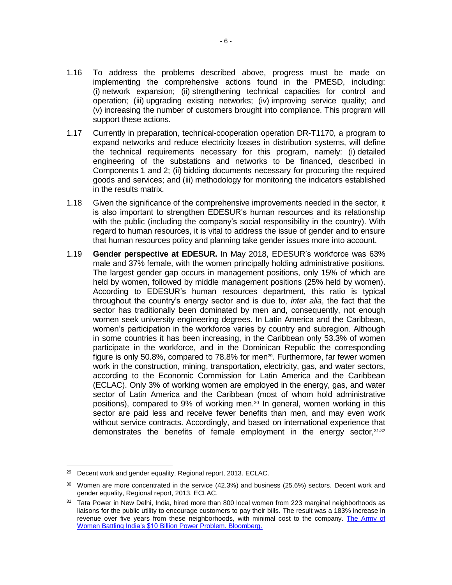- 1.16 To address the problems described above, progress must be made on implementing the comprehensive actions found in the PMESD, including: (i) network expansion; (ii) strengthening technical capacities for control and operation; (iii) upgrading existing networks; (iv) improving service quality; and (v) increasing the number of customers brought into compliance. This program will support these actions.
- 1.17 Currently in preparation, technical-cooperation operation DR-T1170, a program to expand networks and reduce electricity losses in distribution systems, will define the technical requirements necessary for this program, namely: (i) detailed engineering of the substations and networks to be financed, described in Components 1 and 2; (ii) bidding documents necessary for procuring the required goods and services; and (iii) methodology for monitoring the indicators established in the results matrix.
- 1.18 Given the significance of the comprehensive improvements needed in the sector, it is also important to strengthen EDESUR's human resources and its relationship with the public (including the company's social responsibility in the country). With regard to human resources, it is vital to address the issue of gender and to ensure that human resources policy and planning take gender issues more into account.
- 1.19 **Gender perspective at EDESUR.** In May 2018, EDESUR's workforce was 63% male and 37% female, with the women principally holding administrative positions. The largest gender gap occurs in management positions, only 15% of which are held by women, followed by middle management positions (25% held by women). According to EDESUR's human resources department, this ratio is typical throughout the country's energy sector and is due to, *inter alia*, the fact that the sector has traditionally been dominated by men and, consequently, not enough women seek university engineering degrees. In Latin America and the Caribbean, women's participation in the workforce varies by country and subregion. Although in some countries it has been increasing, in the Caribbean only 53.3% of women participate in the workforce, and in the Dominican Republic the corresponding figure is only 50.8%, compared to  $78.8\%$  for men<sup>29</sup>. Furthermore, far fewer women work in the construction, mining, transportation, electricity, gas, and water sectors, according to the Economic Commission for Latin America and the Caribbean (ECLAC). Only 3% of working women are employed in the energy, gas, and water sector of Latin America and the Caribbean (most of whom hold administrative positions), compared to 9% of working men.<sup>30</sup> In general, women working in this sector are paid less and receive fewer benefits than men, and may even work without service contracts. Accordingly, and based on international experience that demonstrates the benefits of female employment in the energy sector, 31,32

 <sup>29</sup> Decent work and gender equality, Regional report, 2013. ECLAC.

<sup>&</sup>lt;sup>30</sup> Women are more concentrated in the service (42.3%) and business (25.6%) sectors. Decent work and gender equality, Regional report, 2013. ECLAC.

<sup>&</sup>lt;sup>31</sup> Tata Power in New Delhi, India, hired more than 800 local women from 223 marginal neighborhoods as liaisons for the public utility to encourage customers to pay their bills. The result was a 183% increase in revenue over five years from these neighborhoods, with minimal cost to the company. [The Army of](https://www.bloomberg.com/news/features/2017-10-03/army-of-women-tackle-electricity-thieves-in-indian-slums)  Women Battling India's \$10 [Billion Power Problem. Bloomberg.](https://www.bloomberg.com/news/features/2017-10-03/army-of-women-tackle-electricity-thieves-in-indian-slums)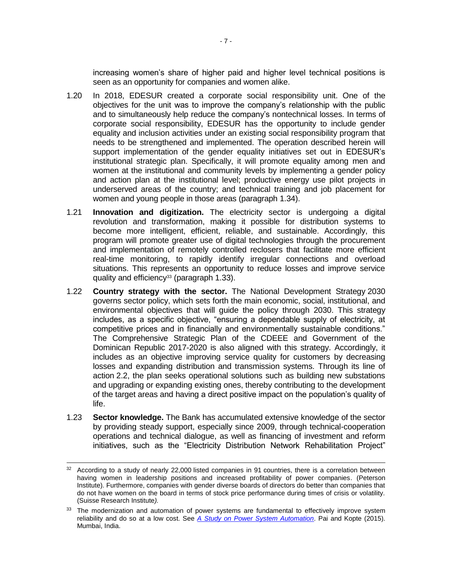increasing women's share of higher paid and higher level technical positions is seen as an opportunity for companies and women alike.

- 1.20 In 2018, EDESUR created a corporate social responsibility unit. One of the objectives for the unit was to improve the company's relationship with the public and to simultaneously help reduce the company's nontechnical losses. In terms of corporate social responsibility, EDESUR has the opportunity to include gender equality and inclusion activities under an existing social responsibility program that needs to be strengthened and implemented. The operation described herein will support implementation of the gender equality initiatives set out in EDESUR's institutional strategic plan. Specifically, it will promote equality among men and women at the institutional and community levels by implementing a gender policy and action plan at the institutional level; productive energy use pilot projects in underserved areas of the country; and technical training and job placement for women and young people in those areas (paragraph 1.34).
- 1.21 **Innovation and digitization.** The electricity sector is undergoing a digital revolution and transformation, making it possible for distribution systems to become more intelligent, efficient, reliable, and sustainable. Accordingly, this program will promote greater use of digital technologies through the procurement and implementation of remotely controlled reclosers that facilitate more efficient real-time monitoring, to rapidly identify irregular connections and overload situations. This represents an opportunity to reduce losses and improve service quality and efficiency<sup>33</sup> (paragraph 1.33).
- 1.22 **Country strategy with the sector.** The National Development Strategy 2030 governs sector policy, which sets forth the main economic, social, institutional, and environmental objectives that will guide the policy through 2030. This strategy includes, as a specific objective, "ensuring a dependable supply of electricity, at competitive prices and in financially and environmentally sustainable conditions." The Comprehensive Strategic Plan of the CDEEE and Government of the Dominican Republic 2017-2020 is also aligned with this strategy. Accordingly, it includes as an objective improving service quality for customers by decreasing losses and expanding distribution and transmission systems. Through its line of action 2.2, the plan seeks operational solutions such as building new substations and upgrading or expanding existing ones, thereby contributing to the development of the target areas and having a direct positive impact on the population's quality of life.
- 1.23 **Sector knowledge.** The Bank has accumulated extensive knowledge of the sector by providing steady support, especially since 2009, through technical-cooperation operations and technical dialogue, as well as financing of investment and reform initiatives, such as the "Electricity Distribution Network Rehabilitation Project"

<sup>&</sup>lt;sup>32</sup> According to a study of nearly 22,000 listed companies in 91 countries, there is a correlation between having women in leadership positions and increased profitability of power companies. (Peterson Institute). Furthermore, companies with gender diverse boards of directors do better than companies that do not have women on the board in terms of stock price performance during times of crisis or volatility. (Suisse Research Institute*).*

<sup>33</sup> The modernization and automation of power systems are fundamental to effectively improve system reliability and do so at a low cost. See *[A Study on Power System Automation](http://www.ijareeie.com/upload/2015/september/30_A%20Study.pdf)*. Pai and Kopte (2015). Mumbai, India.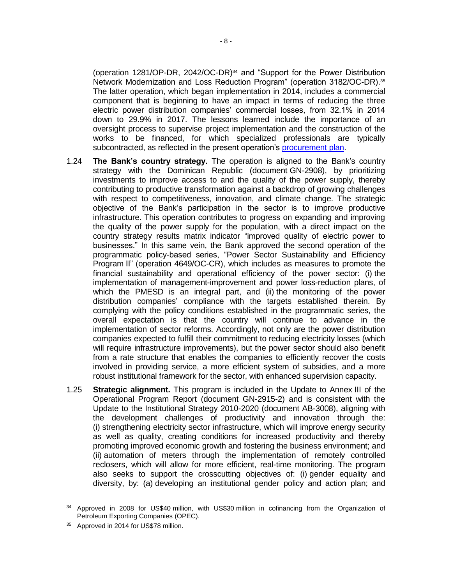(operation 1281/OP-DR, 2042/OC-DR)<sup>34</sup> and "Support for the Power Distribution Network Modernization and Loss Reduction Program" (operation 3182/OC-DR).<sup>35</sup> The latter operation, which began implementation in 2014, includes a commercial component that is beginning to have an impact in terms of reducing the three electric power distribution companies' commercial losses, from 32.1% in 2014 down to 29.9% in 2017. The lessons learned include the importance of an oversight process to supervise project implementation and the construction of the works to be financed, for which specialized professionals are typically subcontracted, as reflected in the present operation's [procurement plan.](http://idbdocs.iadb.org/wsdocs/getDocument.aspx?DOCNUM=EZSHARE-1070525477-25)

- 1.24 **The Bank's country strategy.** The operation is aligned to the Bank's country strategy with the Dominican Republic (document GN-2908), by prioritizing investments to improve access to and the quality of the power supply, thereby contributing to productive transformation against a backdrop of growing challenges with respect to competitiveness, innovation, and climate change. The strategic objective of the Bank's participation in the sector is to improve productive infrastructure. This operation contributes to progress on expanding and improving the quality of the power supply for the population, with a direct impact on the country strategy results matrix indicator "improved quality of electric power to businesses." In this same vein, the Bank approved the second operation of the programmatic policy-based series, "Power Sector Sustainability and Efficiency Program II" (operation 4649/OC-CR), which includes as measures to promote the financial sustainability and operational efficiency of the power sector: (i) the implementation of management-improvement and power loss-reduction plans, of which the PMESD is an integral part, and (ii) the monitoring of the power distribution companies' compliance with the targets established therein. By complying with the policy conditions established in the programmatic series, the overall expectation is that the country will continue to advance in the implementation of sector reforms. Accordingly, not only are the power distribution companies expected to fulfill their commitment to reducing electricity losses (which will require infrastructure improvements), but the power sector should also benefit from a rate structure that enables the companies to efficiently recover the costs involved in providing service, a more efficient system of subsidies, and a more robust institutional framework for the sector, with enhanced supervision capacity.
- 1.25 **Strategic alignment.** This program is included in the Update to Annex III of the Operational Program Report (document GN-2915-2) and is consistent with the Update to the Institutional Strategy 2010-2020 (document AB-3008), aligning with the development challenges of productivity and innovation through the: (i) strengthening electricity sector infrastructure, which will improve energy security as well as quality, creating conditions for increased productivity and thereby promoting improved economic growth and fostering the business environment; and (ii) automation of meters through the implementation of remotely controlled reclosers, which will allow for more efficient, real-time monitoring. The program also seeks to support the crosscutting objectives of: (i) gender equality and diversity, by: (a) developing an institutional gender policy and action plan; and

 <sup>34</sup> Approved in 2008 for US\$40 million, with US\$30 million in cofinancing from the Organization of Petroleum Exporting Companies (OPEC).

<sup>&</sup>lt;sup>35</sup> Approved in 2014 for US\$78 million.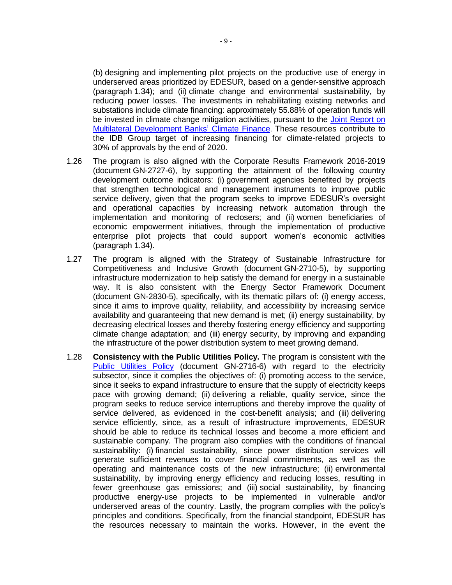(b) designing and implementing pilot projects on the productive use of energy in underserved areas prioritized by EDESUR, based on a gender-sensitive approach (paragraph 1.34); and (ii) climate change and environmental sustainability, by reducing power losses. The investments in rehabilitating existing networks and substations include climate financing: approximately 55.88% of operation funds will be invested in climate change mitigation activities, pursuant to the [Joint Report on](https://publications.iadb.org/handle/11319/8505)  [Multilateral Development Banks' Climate Finance](https://publications.iadb.org/handle/11319/8505). These resources contribute to the IDB Group target of increasing financing for climate-related projects to 30% of approvals by the end of 2020.

- 1.26 The program is also aligned with the Corporate Results Framework 2016-2019 (document GN-2727-6), by supporting the attainment of the following country development outcome indicators: (i) government agencies benefited by projects that strengthen technological and management instruments to improve public service delivery, given that the program seeks to improve EDESUR's oversight and operational capacities by increasing network automation through the implementation and monitoring of reclosers; and (ii) women beneficiaries of economic empowerment initiatives, through the implementation of productive enterprise pilot projects that could support women's economic activities (paragraph 1.34).
- 1.27 The program is aligned with the Strategy of Sustainable Infrastructure for Competitiveness and Inclusive Growth (document GN-2710-5), by supporting infrastructure modernization to help satisfy the demand for energy in a sustainable way. It is also consistent with the Energy Sector Framework Document (document GN-2830-5), specifically, with its thematic pillars of: (i) energy access, since it aims to improve quality, reliability, and accessibility by increasing service availability and guaranteeing that new demand is met; (ii) energy sustainability, by decreasing electrical losses and thereby fostering energy efficiency and supporting climate change adaptation; and (iii) energy security, by improving and expanding the infrastructure of the power distribution system to meet growing demand.
- 1.28 **Consistency with the Public Utilities Policy.** The program is consistent with the [Public Utilities Policy](https://idbg.sharepoint.com/teams/EZ-DR-LON/DR-L1128/_layouts/15/DocIdRedir.aspx?ID=EZSHARE-1070525477-34) (document GN-2716-6) with regard to the electricity subsector, since it complies the objectives of: (i) promoting access to the service, since it seeks to expand infrastructure to ensure that the supply of electricity keeps pace with growing demand; (ii) delivering a reliable, quality service, since the program seeks to reduce service interruptions and thereby improve the quality of service delivered, as evidenced in the cost-benefit analysis; and (iii) delivering service efficiently, since, as a result of infrastructure improvements, EDESUR should be able to reduce its technical losses and become a more efficient and sustainable company. The program also complies with the conditions of financial sustainability: (i) financial sustainability, since power distribution services will generate sufficient revenues to cover financial commitments, as well as the operating and maintenance costs of the new infrastructure; (ii) environmental sustainability, by improving energy efficiency and reducing losses, resulting in fewer greenhouse gas emissions; and (iii) social sustainability, by financing productive energy-use projects to be implemented in vulnerable and/or underserved areas of the country. Lastly, the program complies with the policy's principles and conditions. Specifically, from the financial standpoint, EDESUR has the resources necessary to maintain the works. However, in the event the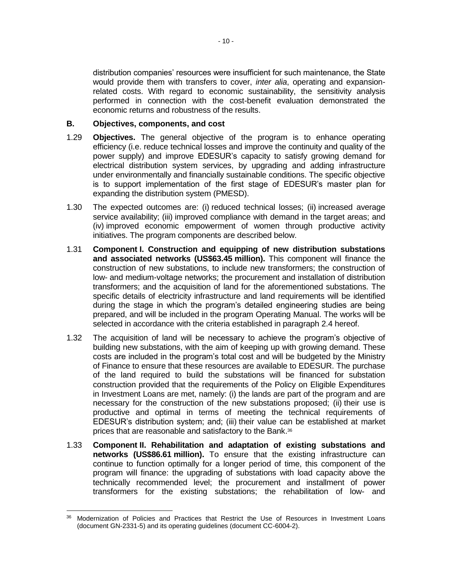distribution companies' resources were insufficient for such maintenance, the State would provide them with transfers to cover, *inter alia*, operating and expansionrelated costs. With regard to economic sustainability, the sensitivity analysis performed in connection with the cost-benefit evaluation demonstrated the economic returns and robustness of the results.

### **B. Objectives, components, and cost**

- 1.29 **Objectives.** The general objective of the program is to enhance operating efficiency (i.e. reduce technical losses and improve the continuity and quality of the power supply) and improve EDESUR's capacity to satisfy growing demand for electrical distribution system services, by upgrading and adding infrastructure under environmentally and financially sustainable conditions. The specific objective is to support implementation of the first stage of EDESUR's master plan for expanding the distribution system (PMESD).
- 1.30 The expected outcomes are: (i) reduced technical losses; (ii) increased average service availability; (iii) improved compliance with demand in the target areas; and (iv) improved economic empowerment of women through productive activity initiatives. The program components are described below.
- 1.31 **Component I. Construction and equipping of new distribution substations and associated networks (US\$63.45 million).** This component will finance the construction of new substations, to include new transformers; the construction of low- and medium-voltage networks; the procurement and installation of distribution transformers; and the acquisition of land for the aforementioned substations. The specific details of electricity infrastructure and land requirements will be identified during the stage in which the program's detailed engineering studies are being prepared, and will be included in the program Operating Manual. The works will be selected in accordance with the criteria established in paragraph 2.4 hereof.
- 1.32 The acquisition of land will be necessary to achieve the program's objective of building new substations, with the aim of keeping up with growing demand. These costs are included in the program's total cost and will be budgeted by the Ministry of Finance to ensure that these resources are available to EDESUR. The purchase of the land required to build the substations will be financed for substation construction provided that the requirements of the Policy on Eligible Expenditures in Investment Loans are met, namely: (i) the lands are part of the program and are necessary for the construction of the new substations proposed; (ii) their use is productive and optimal in terms of meeting the technical requirements of EDESUR's distribution system; and; (iii) their value can be established at market prices that are reasonable and satisfactory to the Bank. 36
- 1.33 **Component II. Rehabilitation and adaptation of existing substations and networks (US\$86.61 million).** To ensure that the existing infrastructure can continue to function optimally for a longer period of time, this component of the program will finance: the upgrading of substations with load capacity above the technically recommended level; the procurement and installment of power transformers for the existing substations; the rehabilitation of low- and

 $\overline{a}$ <sup>36</sup> Modernization of Policies and Practices that Restrict the Use of Resources in Investment Loans (document GN-2331-5) and its operating guidelines (document CC-6004-2).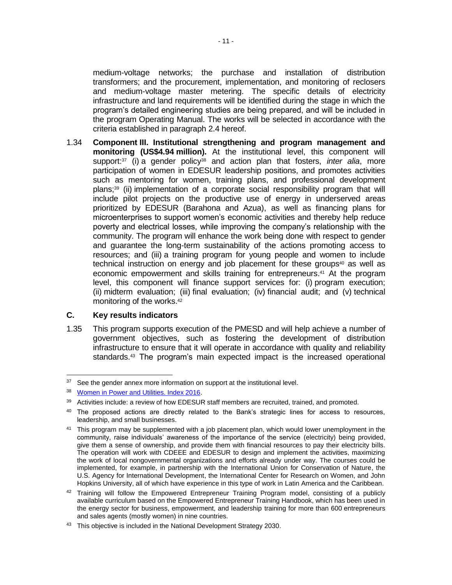medium-voltage networks; the purchase and installation of distribution transformers; and the procurement, implementation, and monitoring of reclosers and medium-voltage master metering. The specific details of electricity infrastructure and land requirements will be identified during the stage in which the program's detailed engineering studies are being prepared, and will be included in the program Operating Manual. The works will be selected in accordance with the criteria established in paragraph 2.4 hereof.

1.34 **Component III. Institutional strengthening and program management and monitoring (US\$4.94 million).** At the institutional level, this component will support:<sup>37</sup> (i) a gender policy<sup>38</sup> and action plan that fosters, *inter alia*, more participation of women in EDESUR leadership positions, and promotes activities such as mentoring for women, training plans, and professional development plans;<sup>39</sup> (ii) implementation of a corporate social responsibility program that will include pilot projects on the productive use of energy in underserved areas prioritized by EDESUR (Barahona and Azua), as well as financing plans for microenterprises to support women's economic activities and thereby help reduce poverty and electrical losses, while improving the company's relationship with the community. The program will enhance the work being done with respect to gender and guarantee the long-term sustainability of the actions promoting access to resources; and (iii) a training program for young people and women to include technical instruction on energy and job placement for these groups<sup>40</sup> as well as economic empowerment and skills training for entrepreneurs. <sup>41</sup> At the program level, this component will finance support services for: (i) program execution; (ii) midterm evaluation; (iii) final evaluation; (iv) financial audit; and (v) technical monitoring of the works. 42

### **C. Key results indicators**

1.35 This program supports execution of the PMESD and will help achieve a number of government objectives, such as fostering the development of distribution infrastructure to ensure that it will operate in accordance with quality and reliability standards.<sup>43</sup> The program's main expected impact is the increased operational

  $37$  See the gender annex more information on support at the institutional level.

<sup>38</sup> [Women in Power and Utilities. Index 2016.](https://www.ey.com/Publication/vwLUAssets/ey-talent-at-the-table-women-in-power-and-utilities-index-2016/$FILE/ey-talent-at-the-table-women-in-power-and-utilities-index-2016.pdf)

<sup>&</sup>lt;sup>39</sup> Activities include: a review of how EDESUR staff members are recruited, trained, and promoted.

 $40$  The proposed actions are directly related to the Bank's strategic lines for access to resources, leadership, and small businesses.

<sup>&</sup>lt;sup>41</sup> This program may be supplemented with a job placement plan, which would lower unemployment in the community, raise individuals' awareness of the importance of the service (electricity) being provided, give them a sense of ownership, and provide them with financial resources to pay their electricity bills. The operation will work with CDEEE and EDESUR to design and implement the activities, maximizing the work of local nongovernmental organizations and efforts already under way. The courses could be implemented, for example, in partnership with the International Union for Conservation of Nature, the U.S. Agency for International Development, the International Center for Research on Women, and John Hopkins University, all of which have experience in this type of work in Latin America and the Caribbean.

 $42$  Training will follow the Empowered Entrepreneur Training Program model, consisting of a publicly available curriculum based on the Empowered Entrepreneur Training Handbook, which has been used in the energy sector for business, empowerment, and leadership training for more than 600 entrepreneurs and sales agents (mostly women) in nine countries.

<sup>&</sup>lt;sup>43</sup> This objective is included in the National Development Strategy 2030.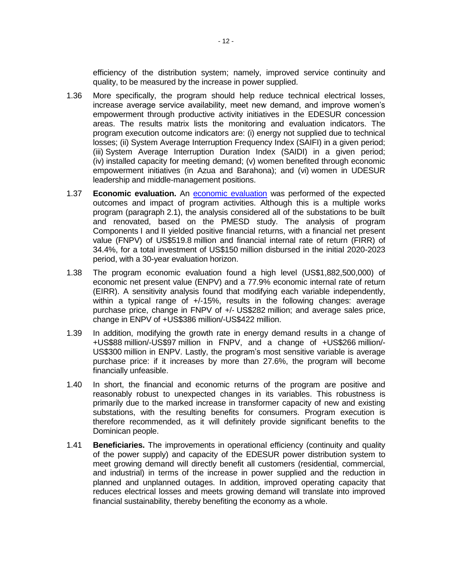efficiency of the distribution system; namely, improved service continuity and quality, to be measured by the increase in power supplied.

- 1.36 More specifically, the program should help reduce technical electrical losses, increase average service availability, meet new demand, and improve women's empowerment through productive activity initiatives in the EDESUR concession areas. The results matrix lists the monitoring and evaluation indicators. The program execution outcome indicators are: (i) energy not supplied due to technical losses; (ii) System Average Interruption Frequency Index (SAIFI) in a given period; (iii) System Average Interruption Duration Index (SAIDI) in a given period; (iv) installed capacity for meeting demand; (v) women benefited through economic empowerment initiatives (in Azua and Barahona); and (vi) women in UDESUR leadership and middle-management positions.
- 1.37 **Economic evaluation.** An [economic evaluation](https://idbg.sharepoint.com/teams/EZ-DR-LON/DR-L1128/_layouts/15/DocIdRedir.aspx?ID=EZSHARE-1070525477-30) was performed of the expected outcomes and impact of program activities. Although this is a multiple works program (paragraph 2.1), the analysis considered all of the substations to be built and renovated, based on the PMESD study. The analysis of program Components I and II yielded positive financial returns, with a financial net present value (FNPV) of US\$519.8 million and financial internal rate of return (FIRR) of 34.4%, for a total investment of US\$150 million disbursed in the initial 2020-2023 period, with a 30-year evaluation horizon.
- 1.38 The program economic evaluation found a high level (US\$1,882,500,000) of economic net present value (ENPV) and a 77.9% economic internal rate of return (EIRR). A sensitivity analysis found that modifying each variable independently, within a typical range of +/-15%, results in the following changes: average purchase price, change in FNPV of +/- US\$282 million; and average sales price, change in ENPV of +US\$386 million/-US\$422 million.
- 1.39 In addition, modifying the growth rate in energy demand results in a change of +US\$88 million/-US\$97 million in FNPV, and a change of +US\$266 million/- US\$300 million in ENPV. Lastly, the program's most sensitive variable is average purchase price: if it increases by more than 27.6%, the program will become financially unfeasible.
- 1.40 In short, the financial and economic returns of the program are positive and reasonably robust to unexpected changes in its variables. This robustness is primarily due to the marked increase in transformer capacity of new and existing substations, with the resulting benefits for consumers. Program execution is therefore recommended, as it will definitely provide significant benefits to the Dominican people.
- 1.41 **Beneficiaries.** The improvements in operational efficiency (continuity and quality of the power supply) and capacity of the EDESUR power distribution system to meet growing demand will directly benefit all customers (residential, commercial, and industrial) in terms of the increase in power supplied and the reduction in planned and unplanned outages. In addition, improved operating capacity that reduces electrical losses and meets growing demand will translate into improved financial sustainability, thereby benefiting the economy as a whole.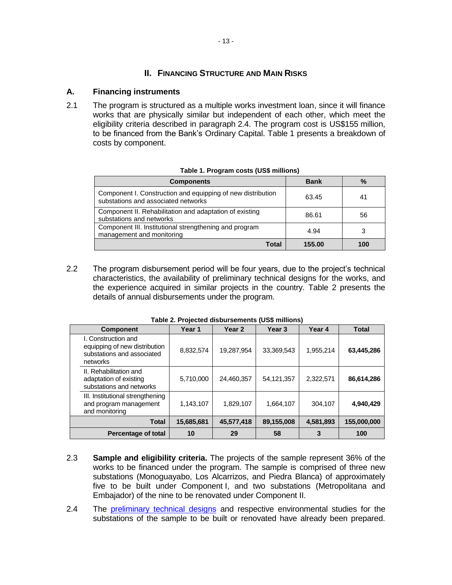# **II. FINANCING STRUCTURE AND MAIN RISKS**

### **A. Financing instruments**

2.1 The program is structured as a multiple works investment loan, since it will finance works that are physically similar but independent of each other, which meet the eligibility criteria described in paragraph 2.4. The program cost is US\$155 million, to be financed from the Bank's Ordinary Capital. Table 1 presents a breakdown of costs by component.

| <b>Components</b>                                                                                  | <b>Bank</b> | %   |
|----------------------------------------------------------------------------------------------------|-------------|-----|
| Component I. Construction and equipping of new distribution<br>substations and associated networks | 63.45       | 41  |
| Component II. Rehabilitation and adaptation of existing<br>substations and networks                | 86.61       | 56  |
| Component III. Institutional strengthening and program<br>management and monitoring                | 4.94        |     |
| Total                                                                                              | 155.00      | 100 |

**Table 1. Program costs (US\$ millions)**

2.2 The program disbursement period will be four years, due to the project's technical characteristics, the availability of preliminary technical designs for the works, and the experience acquired in similar projects in the country. Table 2 presents the details of annual disbursements under the program.

| Table 2. Projected disbursements (US\$ millions)                                               |            |                   |                   |           |              |  |  |  |  |  |  |
|------------------------------------------------------------------------------------------------|------------|-------------------|-------------------|-----------|--------------|--|--|--|--|--|--|
| <b>Component</b>                                                                               | Year 1     | Year <sub>2</sub> | Year <sub>3</sub> | Year 4    | <b>Total</b> |  |  |  |  |  |  |
| I. Construction and<br>equipping of new distribution<br>substations and associated<br>networks | 8,832,574  | 19,287,954        | 33,369,543        | 1,955,214 | 63,445,286   |  |  |  |  |  |  |
| II. Rehabilitation and<br>adaptation of existing<br>substations and networks                   | 5,710,000  | 24,460,357        | 54,121,357        | 2,322,571 | 86,614,286   |  |  |  |  |  |  |
| III. Institutional strengthening<br>and program management<br>and monitoring                   | 1,143,107  | 1,829,107         | 1,664,107         | 304,107   | 4,940,429    |  |  |  |  |  |  |
| <b>Total</b>                                                                                   | 15,685,681 | 45,577,418        | 89,155,008        | 4,581,893 | 155,000,000  |  |  |  |  |  |  |
| Percentage of total                                                                            | 10         | 29                | 58                | 3         | 100          |  |  |  |  |  |  |

**Table 2. Projected disbursements (US\$ millions)**

- 2.3 **Sample and eligibility criteria.** The projects of the sample represent 36% of the works to be financed under the program. The sample is comprised of three new substations (Monoguayabo, Los Alcarrizos, and Piedra Blanca) of approximately five to be built under Component I, and two substations (Metropolitana and Embajador) of the nine to be renovated under Component II.
- 2.4 The [preliminary technical designs](https://idbg.sharepoint.com/teams/EZ-DR-LON/DR-L1128/_layouts/15/DocIdRedir.aspx?ID=EZSHARE-1070525477-45) and respective environmental studies for the substations of the sample to be built or renovated have already been prepared.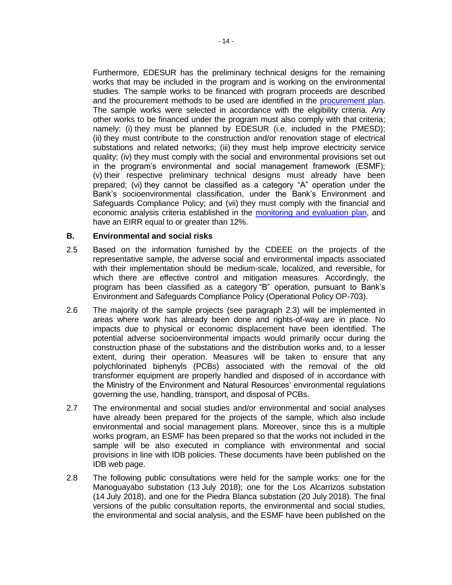Furthermore, EDESUR has the preliminary technical designs for the remaining works that may be included in the program and is working on the environmental studies. The sample works to be financed with program proceeds are described and the procurement methods to be used are identified in the [procurement plan.](https://idbg.sharepoint.com/teams/EZ-DR-LON/DR-L1128/_layouts/15/DocIdRedir.aspx?ID=EZSHARE-1070525477-25) The sample works were selected in accordance with the eligibility criteria. Any other works to be financed under the program must also comply with that criteria; namely: (i) they must be planned by EDESUR (i.e. included in the PMESD); (ii) they must contribute to the construction and/or renovation stage of electrical substations and related networks; (iii) they must help improve electricity service quality; (iv) they must comply with the social and environmental provisions set out in the program's environmental and social management framework (ESMF); (v) their respective preliminary technical designs must already have been prepared; (vi) they cannot be classified as a category "A" operation under the Bank's socioenvironmental classification, under the Bank's Environment and Safeguards Compliance Policy; and (vii) they must comply with the financial and economic analysis criteria established in the [monitoring and evaluation plan,](https://idbg.sharepoint.com/teams/EZ-DR-LON/DR-L1128/_layouts/15/DocIdRedir.aspx?ID=EZSHARE-1070525477-28) and have an EIRR equal to or greater than 12%.

### **B. Environmental and social risks**

- 2.5 Based on the information furnished by the CDEEE on the projects of the representative sample, the adverse social and environmental impacts associated with their implementation should be medium-scale, localized, and reversible, for which there are effective control and mitigation measures. Accordingly, the program has been classified as a category "B" operation, pursuant to Bank's Environment and Safeguards Compliance Policy (Operational Policy OP-703).
- 2.6 The majority of the sample projects (see paragraph 2.3) will be implemented in areas where work has already been done and rights-of-way are in place. No impacts due to physical or economic displacement have been identified. The potential adverse socioenvironmental impacts would primarily occur during the construction phase of the substations and the distribution works and, to a lesser extent, during their operation. Measures will be taken to ensure that any polychlorinated biphenyls (PCBs) associated with the removal of the old transformer equipment are properly handled and disposed of in accordance with the Ministry of the Environment and Natural Resources' environmental regulations governing the use, handling, transport, and disposal of PCBs.
- 2.7 The environmental and social studies and/or environmental and social analyses have already been prepared for the projects of the sample, which also include environmental and social management plans. Moreover, since this is a multiple works program, an ESMF has been prepared so that the works not included in the sample will be also executed in compliance with environmental and social provisions in line with IDB policies. These documents have been published on the IDB web page.
- 2.8 The following public consultations were held for the sample works: one for the Manoguayabo substation (13 July 2018); one for the Los Alcarrizos substation (14 July 2018), and one for the Piedra Blanca substation (20 July 2018). The final versions of the public consultation reports, the environmental and social studies, the environmental and social analysis, and the ESMF have been published on the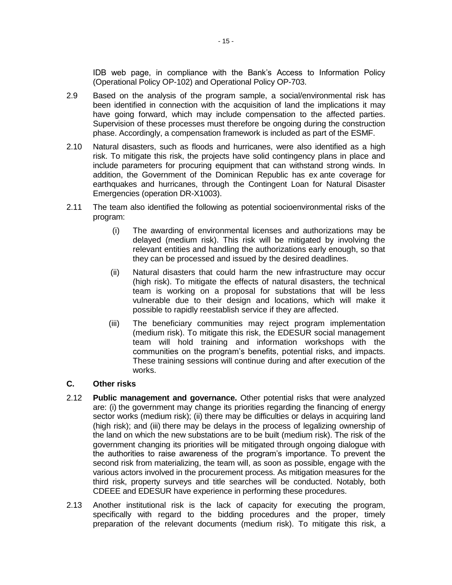IDB web page, in compliance with the Bank's Access to Information Policy (Operational Policy OP-102) and Operational Policy OP-703.

- 2.9 Based on the analysis of the program sample, a social/environmental risk has been identified in connection with the acquisition of land the implications it may have going forward, which may include compensation to the affected parties. Supervision of these processes must therefore be ongoing during the construction phase. Accordingly, a compensation framework is included as part of the ESMF.
- 2.10 Natural disasters, such as floods and hurricanes, were also identified as a high risk. To mitigate this risk, the projects have solid contingency plans in place and include parameters for procuring equipment that can withstand strong winds. In addition, the Government of the Dominican Republic has ex ante coverage for earthquakes and hurricanes, through the Contingent Loan for Natural Disaster Emergencies (operation DR-X1003).
- 2.11 The team also identified the following as potential socioenvironmental risks of the program:
	- (i) The awarding of environmental licenses and authorizations may be delayed (medium risk). This risk will be mitigated by involving the relevant entities and handling the authorizations early enough, so that they can be processed and issued by the desired deadlines.
	- (ii) Natural disasters that could harm the new infrastructure may occur (high risk). To mitigate the effects of natural disasters, the technical team is working on a proposal for substations that will be less vulnerable due to their design and locations, which will make it possible to rapidly reestablish service if they are affected.
	- (iii) The beneficiary communities may reject program implementation (medium risk). To mitigate this risk, the EDESUR social management team will hold training and information workshops with the communities on the program's benefits, potential risks, and impacts. These training sessions will continue during and after execution of the works.

### **C. Other risks**

- 2.12 **Public management and governance.** Other potential risks that were analyzed are: (i) the government may change its priorities regarding the financing of energy sector works (medium risk); (ii) there may be difficulties or delays in acquiring land (high risk); and (iii) there may be delays in the process of legalizing ownership of the land on which the new substations are to be built (medium risk). The risk of the government changing its priorities will be mitigated through ongoing dialogue with the authorities to raise awareness of the program's importance. To prevent the second risk from materializing, the team will, as soon as possible, engage with the various actors involved in the procurement process. As mitigation measures for the third risk, property surveys and title searches will be conducted. Notably, both CDEEE and EDESUR have experience in performing these procedures.
- 2.13 Another institutional risk is the lack of capacity for executing the program, specifically with regard to the bidding procedures and the proper, timely preparation of the relevant documents (medium risk). To mitigate this risk, a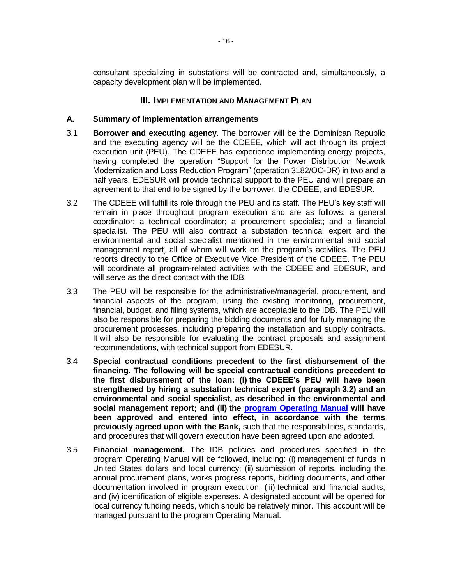consultant specializing in substations will be contracted and, simultaneously, a capacity development plan will be implemented.

### **III. IMPLEMENTATION AND MANAGEMENT PLAN**

### **A. Summary of implementation arrangements**

- 3.1 **Borrower and executing agency.** The borrower will be the Dominican Republic and the executing agency will be the CDEEE, which will act through its project execution unit (PEU). The CDEEE has experience implementing energy projects, having completed the operation "Support for the Power Distribution Network Modernization and Loss Reduction Program" (operation 3182/OC-DR) in two and a half years. EDESUR will provide technical support to the PEU and will prepare an agreement to that end to be signed by the borrower, the CDEEE, and EDESUR.
- <span id="page-20-0"></span>3.2 The CDEEE will fulfill its role through the PEU and its staff. The PEU's key staff will remain in place throughout program execution and are as follows: a general coordinator; a technical coordinator; a procurement specialist; and a financial specialist. The PEU will also contract a substation technical expert and the environmental and social specialist mentioned in the environmental and social management report, all of whom will work on the program's activities. The PEU reports directly to the Office of Executive Vice President of the CDEEE. The PEU will coordinate all program-related activities with the CDEEE and EDESUR, and will serve as the direct contact with the IDB.
- 3.3 The PEU will be responsible for the administrative/managerial, procurement, and financial aspects of the program, using the existing monitoring, procurement, financial, budget, and filing systems, which are acceptable to the IDB. The PEU will also be responsible for preparing the bidding documents and for fully managing the procurement processes, including preparing the installation and supply contracts. It will also be responsible for evaluating the contract proposals and assignment recommendations, with technical support from EDESUR.
- 3.4 **Special contractual conditions precedent to the first disbursement of the financing. The following will be special contractual conditions precedent to the first disbursement of the loan: (i) the CDEEE's PEU will have been strengthened by hiring a substation technical expert (paragraph [3.2\)](#page-20-0) and an environmental and social specialist, as described in the environmental and social management report; and (ii) the [program Operating Manual](https://idbg.sharepoint.com/teams/EZ-DR-LON/DR-L1128/_layouts/15/DocIdRedir.aspx?ID=EZSHARE-1070525477-50) will have been approved and entered into effect, in accordance with the terms previously agreed upon with the Bank,** such that the responsibilities, standards, and procedures that will govern execution have been agreed upon and adopted.
- 3.5 **Financial management.** The IDB policies and procedures specified in the program Operating Manual will be followed, including: (i) management of funds in United States dollars and local currency; (ii) submission of reports, including the annual procurement plans, works progress reports, bidding documents, and other documentation involved in program execution; (iii) technical and financial audits; and (iv) identification of eligible expenses. A designated account will be opened for local currency funding needs, which should be relatively minor. This account will be managed pursuant to the program Operating Manual.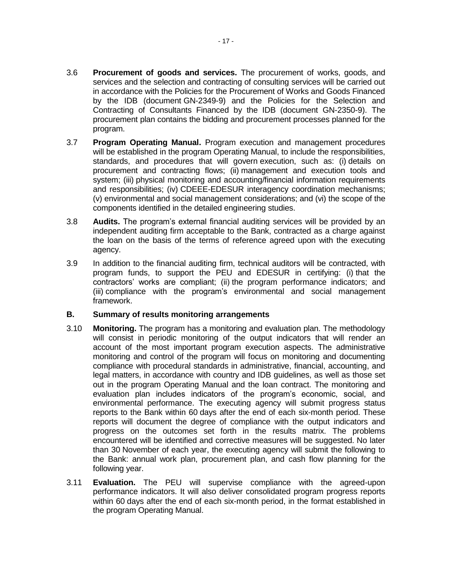- 3.6 **Procurement of goods and services.** The procurement of works, goods, and services and the selection and contracting of consulting services will be carried out in accordance with the Policies for the Procurement of Works and Goods Financed by the IDB (document GN-2349-9) and the Policies for the Selection and Contracting of Consultants Financed by the IDB (document GN-2350-9). The procurement plan contains the bidding and procurement processes planned for the program.
- 3.7 **Program Operating Manual.** Program execution and management procedures will be established in the program Operating Manual, to include the responsibilities, standards, and procedures that will govern execution, such as: (i) details on procurement and contracting flows; (ii) management and execution tools and system; (iii) physical monitoring and accounting/financial information requirements and responsibilities; (iv) CDEEE-EDESUR interagency coordination mechanisms; (v) environmental and social management considerations; and (vi) the scope of the components identified in the detailed engineering studies.
- 3.8 **Audits.** The program's external financial auditing services will be provided by an independent auditing firm acceptable to the Bank, contracted as a charge against the loan on the basis of the terms of reference agreed upon with the executing agency.
- 3.9 In addition to the financial auditing firm, technical auditors will be contracted, with program funds, to support the PEU and EDESUR in certifying: (i) that the contractors' works are compliant; (ii) the program performance indicators; and (iii) compliance with the program's environmental and social management framework.

### **B. Summary of results monitoring arrangements**

- 3.10 **Monitoring.** The program has a monitoring and evaluation plan. The methodology will consist in periodic monitoring of the output indicators that will render an account of the most important program execution aspects. The administrative monitoring and control of the program will focus on monitoring and documenting compliance with procedural standards in administrative, financial, accounting, and legal matters, in accordance with country and IDB guidelines, as well as those set out in the program Operating Manual and the loan contract. The monitoring and evaluation plan includes indicators of the program's economic, social, and environmental performance. The executing agency will submit progress status reports to the Bank within 60 days after the end of each six-month period. These reports will document the degree of compliance with the output indicators and progress on the outcomes set forth in the results matrix. The problems encountered will be identified and corrective measures will be suggested. No later than 30 November of each year, the executing agency will submit the following to the Bank: annual work plan, procurement plan, and cash flow planning for the following year.
- 3.11 **Evaluation.** The PEU will supervise compliance with the agreed-upon performance indicators. It will also deliver consolidated program progress reports within 60 days after the end of each six-month period, in the format established in the program Operating Manual.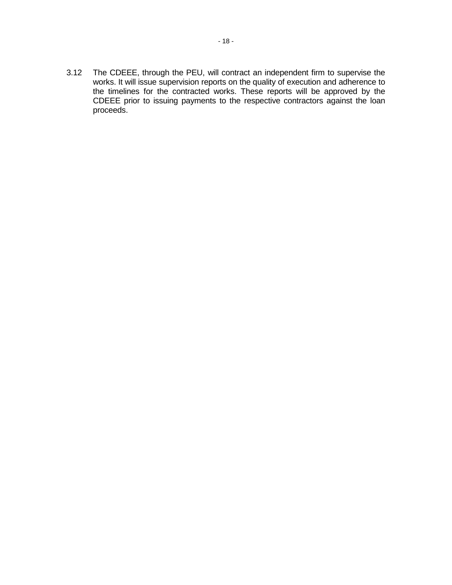3.12 The CDEEE, through the PEU, will contract an independent firm to supervise the works. It will issue supervision reports on the quality of execution and adherence to the timelines for the contracted works. These reports will be approved by the CDEEE prior to issuing payments to the respective contractors against the loan proceeds.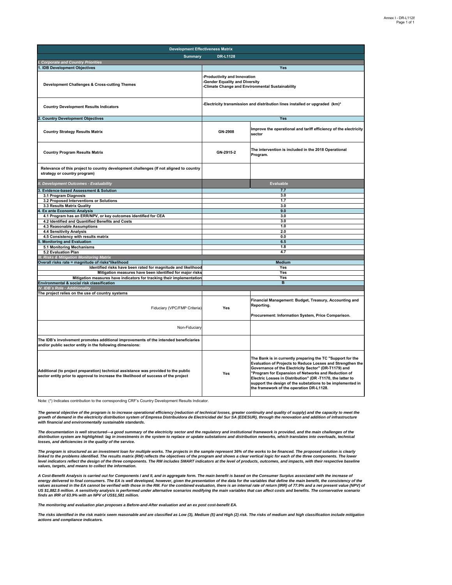| <b>Development Effectiveness Matrix</b>                                                                                                                                     |                                                                                                                    |                                                                                                                                                                                                                                                                                                                                                                                                                 |  |  |  |  |  |  |
|-----------------------------------------------------------------------------------------------------------------------------------------------------------------------------|--------------------------------------------------------------------------------------------------------------------|-----------------------------------------------------------------------------------------------------------------------------------------------------------------------------------------------------------------------------------------------------------------------------------------------------------------------------------------------------------------------------------------------------------------|--|--|--|--|--|--|
| <b>Summary</b>                                                                                                                                                              | <b>DR-L1128</b>                                                                                                    |                                                                                                                                                                                                                                                                                                                                                                                                                 |  |  |  |  |  |  |
| <b>Corporate and Country Priorities</b>                                                                                                                                     |                                                                                                                    |                                                                                                                                                                                                                                                                                                                                                                                                                 |  |  |  |  |  |  |
| 1. IDB Development Objectives                                                                                                                                               |                                                                                                                    | Yes                                                                                                                                                                                                                                                                                                                                                                                                             |  |  |  |  |  |  |
| Development Challenges & Cross-cutting Themes                                                                                                                               | -Productivity and Innovation<br>-Gender Equality and Diversity<br>-Climate Change and Environmental Sustainability |                                                                                                                                                                                                                                                                                                                                                                                                                 |  |  |  |  |  |  |
| <b>Country Development Results Indicators</b>                                                                                                                               |                                                                                                                    | -Electricity transmission and distribution lines installed or upgraded (km)*                                                                                                                                                                                                                                                                                                                                    |  |  |  |  |  |  |
| <b>Country Development Objectives</b>                                                                                                                                       |                                                                                                                    | <b>Yes</b>                                                                                                                                                                                                                                                                                                                                                                                                      |  |  |  |  |  |  |
| <b>Country Strategy Results Matrix</b>                                                                                                                                      | GN-2908                                                                                                            | Improve the operational and tariff efficiency of the electricity<br>sector                                                                                                                                                                                                                                                                                                                                      |  |  |  |  |  |  |
| <b>Country Program Results Matrix</b>                                                                                                                                       | GN-2915-2                                                                                                          | The intervention is included in the 2018 Operational<br>Program.                                                                                                                                                                                                                                                                                                                                                |  |  |  |  |  |  |
| Relevance of this project to country development challenges (If not aligned to country<br>strategy or country program)                                                      |                                                                                                                    |                                                                                                                                                                                                                                                                                                                                                                                                                 |  |  |  |  |  |  |
| II. Development Outcomes - Evaluability                                                                                                                                     |                                                                                                                    | <b>Evaluable</b>                                                                                                                                                                                                                                                                                                                                                                                                |  |  |  |  |  |  |
| <b>Evidence-based Assessment &amp; Solution</b><br>3                                                                                                                        |                                                                                                                    | 7.7                                                                                                                                                                                                                                                                                                                                                                                                             |  |  |  |  |  |  |
| 3.1 Program Diagnosis                                                                                                                                                       |                                                                                                                    | 3.0                                                                                                                                                                                                                                                                                                                                                                                                             |  |  |  |  |  |  |
| 3.2 Proposed Interventions or Solutions                                                                                                                                     |                                                                                                                    | 1.7                                                                                                                                                                                                                                                                                                                                                                                                             |  |  |  |  |  |  |
| 3.3 Results Matrix Quality                                                                                                                                                  |                                                                                                                    | 3.0                                                                                                                                                                                                                                                                                                                                                                                                             |  |  |  |  |  |  |
| <b>Ex ante Economic Analysis</b>                                                                                                                                            |                                                                                                                    | 9.0                                                                                                                                                                                                                                                                                                                                                                                                             |  |  |  |  |  |  |
| 4.1 Program has an ERR/NPV, or key outcomes identified for CEA                                                                                                              |                                                                                                                    | 3.0                                                                                                                                                                                                                                                                                                                                                                                                             |  |  |  |  |  |  |
| 4.2 Identified and Quantified Benefits and Costs<br>4.3 Reasonable Assumptions                                                                                              |                                                                                                                    | 3.0<br>1.0                                                                                                                                                                                                                                                                                                                                                                                                      |  |  |  |  |  |  |
| 4.4 Sensitivity Analysis                                                                                                                                                    | 2.0                                                                                                                |                                                                                                                                                                                                                                                                                                                                                                                                                 |  |  |  |  |  |  |
| 4.5 Consistency with results matrix                                                                                                                                         | 0.0                                                                                                                |                                                                                                                                                                                                                                                                                                                                                                                                                 |  |  |  |  |  |  |
| <b>Monitoring and Evaluation</b>                                                                                                                                            | 6.5                                                                                                                |                                                                                                                                                                                                                                                                                                                                                                                                                 |  |  |  |  |  |  |
| 5.1 Monitoring Mechanisms                                                                                                                                                   | 1.8                                                                                                                |                                                                                                                                                                                                                                                                                                                                                                                                                 |  |  |  |  |  |  |
| 5.2 Evaluation Plan                                                                                                                                                         | 4.7                                                                                                                |                                                                                                                                                                                                                                                                                                                                                                                                                 |  |  |  |  |  |  |
| <b>III. Risks &amp; Mitigation Monitoring Matrix</b>                                                                                                                        |                                                                                                                    |                                                                                                                                                                                                                                                                                                                                                                                                                 |  |  |  |  |  |  |
| Overall risks rate = magnitude of risks*likelihood                                                                                                                          |                                                                                                                    | <b>Medium</b>                                                                                                                                                                                                                                                                                                                                                                                                   |  |  |  |  |  |  |
| Identified risks have been rated for magnitude and likelihood                                                                                                               |                                                                                                                    | Yes                                                                                                                                                                                                                                                                                                                                                                                                             |  |  |  |  |  |  |
| Mitigation measures have been identified for major risks                                                                                                                    | Yes                                                                                                                |                                                                                                                                                                                                                                                                                                                                                                                                                 |  |  |  |  |  |  |
| Mitigation measures have indicators for tracking their implementation                                                                                                       | Yes<br>$\overline{B}$                                                                                              |                                                                                                                                                                                                                                                                                                                                                                                                                 |  |  |  |  |  |  |
| Environmental & social risk classification                                                                                                                                  |                                                                                                                    |                                                                                                                                                                                                                                                                                                                                                                                                                 |  |  |  |  |  |  |
| IV. IDB's Role - Additionality<br>The project relies on the use of country systems                                                                                          |                                                                                                                    |                                                                                                                                                                                                                                                                                                                                                                                                                 |  |  |  |  |  |  |
| Fiduciary (VPC/FMP Criteria)                                                                                                                                                | Yes                                                                                                                | Financial Management: Budget, Treasury, Accounting and<br>Reporting.<br>Procurement: Information System, Price Comparison.                                                                                                                                                                                                                                                                                      |  |  |  |  |  |  |
| Non-Fiduciary                                                                                                                                                               |                                                                                                                    |                                                                                                                                                                                                                                                                                                                                                                                                                 |  |  |  |  |  |  |
| The IDB's involvement promotes additional improvements of the intended beneficiaries<br>and/or public sector entity in the following dimensions:                            |                                                                                                                    |                                                                                                                                                                                                                                                                                                                                                                                                                 |  |  |  |  |  |  |
| Additional (to project preparation) technical assistance was provided to the public<br>sector entity prior to approval to increase the likelihood of success of the project | Yes                                                                                                                | The Bank is in currently preparing the TC "Support for the<br>Evaluation of Projects to Reduce Losses and Strengthen the<br>Governance of the Electricity Sector" (DR-T1179) and<br>"Program for Expansion of Networks and Reduction of<br>Electric Losses in Distribution" (DR -T1170, the latter to<br>support the design of the substations to be implemented in<br>the framework of the operation DR-L1128. |  |  |  |  |  |  |

Note: (\*) Indicates contribution to the corresponding CRF's Country Development Results Indicator.

The general objective of the program is to increase operational efficiency (reduction of technical losses, greater continuity and quality of supply) and the capacity to meet the<br>growth of demand in the electricity distribu *with financial and environmentally sustainable standards.*

The documentation is well structured—a good summary of the electricity sector and the regulatory and institutional framework is provided, and the main challenges of the<br>distribution system are highlighted: lag in investmen *losses, and deficiencies in the quality of the service.*

The program is structured as an investment loan for multiple works. The projects in the sample represent 36% of the works to be financed. The proposed solution is clearly<br>linked to the problems identified. The results matr *values, targets, and means to collect the information.*

A Cost-Benefit Analysis is carried out for Components I and II, and in aggregate form. The main benefit is based on the Consumer Surplus associated with the increase of<br>energy delivered to final consumers. The EA is well d US \$1,882.5 million. A sensitivity analysis is performed under alternative scenarios modifying the main variables that can affect costs and benefits. The conservative scenario<br>finds an IRR of 63.9% with an NPV of US\$1,581

*The monitoring and evaluation plan proposes a Before-and-After evaluation and an ex post cost-benefit EA.*

*The risks identified in the risk matrix seem reasonable and are classified as Low (3), Medium (5) and High (2) risk. The risks of medium and high classification include mitigation actions and compliance indicators.*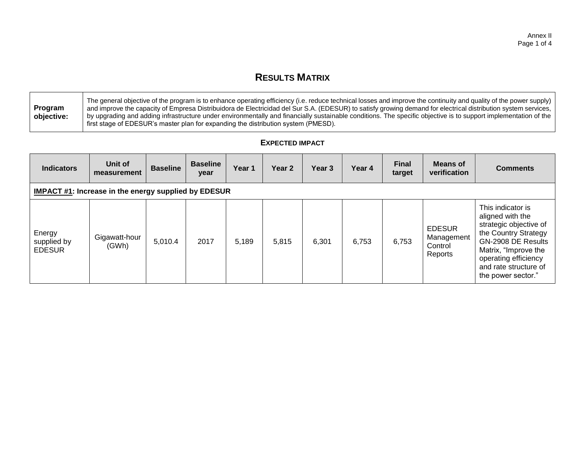# **RESULTS MATRIX**

|            | The general objective of the program is to enhance operating efficiency (i.e. reduce technical losses and improve the continuity and quality of the power supply) |
|------------|-------------------------------------------------------------------------------------------------------------------------------------------------------------------|
| Program    | and improve the capacity of Empresa Distribuidora de Electricidad del Sur S.A. (EDESUR) to satisfy growing demand for electrical distribution system services, I  |
| objective: | by upgrading and adding infrastructure under environmentally and financially sustainable conditions. The specific objective is to support implementation of the   |
|            | first stage of EDESUR's master plan for expanding the distribution system (PMESD).                                                                                |

# **EXPECTED IMPACT**

| <b>Indicators</b>                                           | Unit of<br>measurement | <b>Baseline</b> | <b>Baseline</b><br>year | Year 1 | Year <sub>2</sub> | Year 3 | Year 4 | <b>Final</b><br>target | <b>Means of</b><br>verification                   | <b>Comments</b>                                                                                                                                                                                              |  |  |
|-------------------------------------------------------------|------------------------|-----------------|-------------------------|--------|-------------------|--------|--------|------------------------|---------------------------------------------------|--------------------------------------------------------------------------------------------------------------------------------------------------------------------------------------------------------------|--|--|
| <b>IMPACT #1: Increase in the energy supplied by EDESUR</b> |                        |                 |                         |        |                   |        |        |                        |                                                   |                                                                                                                                                                                                              |  |  |
| Energy<br>supplied by<br><b>EDESUR</b>                      | Gigawatt-hour<br>(GWh) | 5,010.4         | 2017                    | 5,189  | 5,815             | 6,301  | 6,753  | 6,753                  | <b>EDESUR</b><br>Management<br>Control<br>Reports | This indicator is<br>aligned with the<br>strategic objective of<br>the Country Strategy<br>GN-2908 DE Results<br>Matrix, "Improve the<br>operating efficiency<br>and rate structure of<br>the power sector." |  |  |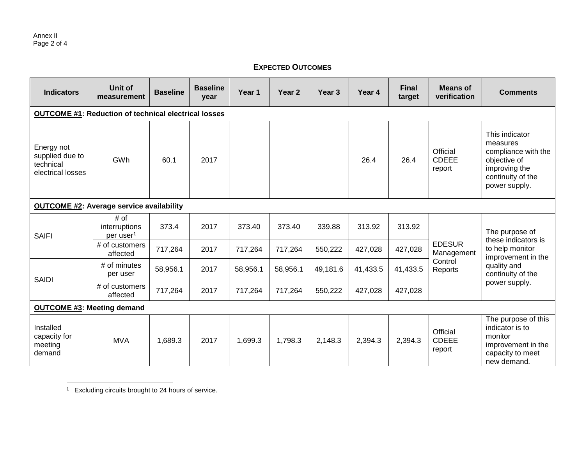# **EXPECTED OUTCOMES**

| <b>Indicators</b>                                               | Unit of<br>measurement                         | <b>Baseline</b> | <b>Baseline</b><br>vear | Year 1   | Year 2   | Year <sub>3</sub> | Year 4   | <b>Final</b><br>target | <b>Means of</b><br>verification    | <b>Comments</b>                                                                                                          |  |  |  |
|-----------------------------------------------------------------|------------------------------------------------|-----------------|-------------------------|----------|----------|-------------------|----------|------------------------|------------------------------------|--------------------------------------------------------------------------------------------------------------------------|--|--|--|
| <b>OUTCOME #1: Reduction of technical electrical losses</b>     |                                                |                 |                         |          |          |                   |          |                        |                                    |                                                                                                                          |  |  |  |
| Energy not<br>supplied due to<br>technical<br>electrical losses | GWh                                            | 60.1            | 2017                    |          |          |                   | 26.4     | 26.4                   | Official<br><b>CDEEE</b><br>report | This indicator<br>measures<br>compliance with the<br>objective of<br>improving the<br>continuity of the<br>power supply. |  |  |  |
| <b>OUTCOME #2: Average service availability</b>                 |                                                |                 |                         |          |          |                   |          |                        |                                    |                                                                                                                          |  |  |  |
| <b>SAIFI</b>                                                    | # of<br>interruptions<br>per user <sup>1</sup> | 373.4           | 2017                    | 373.40   | 373.40   | 339.88            | 313.92   | 313.92                 | <b>EDESUR</b><br>Management        | The purpose of<br>these indicators is                                                                                    |  |  |  |
|                                                                 | # of customers<br>affected                     | 717,264         | 2017                    | 717,264  | 717,264  | 550,222           | 427,028  | 427,028                |                                    | to help monitor<br>improvement in the                                                                                    |  |  |  |
|                                                                 | # of minutes<br>per user                       | 58,956.1        | 2017                    | 58,956.1 | 58,956.1 | 49,181.6          | 41,433.5 | 41,433.5               | Control<br>Reports                 | quality and<br>continuity of the                                                                                         |  |  |  |
| <b>SAIDI</b>                                                    | # of customers<br>affected                     | 717,264         | 2017                    | 717,264  | 717,264  | 550,222           | 427,028  | 427,028                |                                    | power supply.                                                                                                            |  |  |  |
| <b>OUTCOME #3: Meeting demand</b>                               |                                                |                 |                         |          |          |                   |          |                        |                                    |                                                                                                                          |  |  |  |
| Installed<br>capacity for<br>meeting<br>demand                  | <b>MVA</b>                                     | 1,689.3         | 2017                    | 1,699.3  | 1,798.3  | 2,148.3           | 2,394.3  | 2,394.3                | Official<br><b>CDEEE</b><br>report | The purpose of this<br>indicator is to<br>monitor<br>improvement in the<br>capacity to meet<br>new demand.               |  |  |  |

  $1$  Excluding circuits brought to 24 hours of service.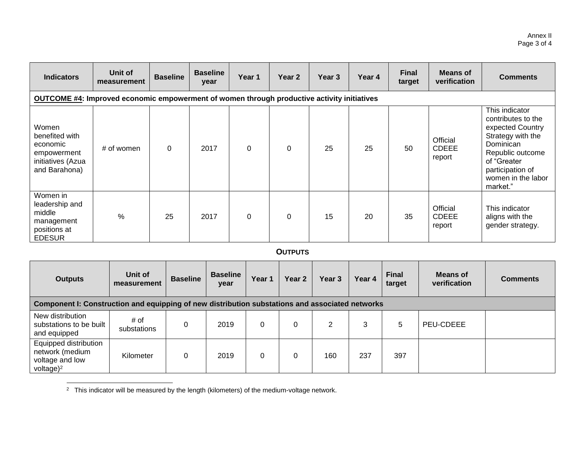| <b>Indicators</b>                                                                                 | Unit of<br>measurement | <b>Baseline</b> | <b>Baseline</b><br>year | Year 1   | Year <sub>2</sub> | Year 3 | Year 4 | <b>Final</b><br>target | <b>Means of</b><br>verification    | <b>Comments</b>                                                                                                                                                                     |  |  |
|---------------------------------------------------------------------------------------------------|------------------------|-----------------|-------------------------|----------|-------------------|--------|--------|------------------------|------------------------------------|-------------------------------------------------------------------------------------------------------------------------------------------------------------------------------------|--|--|
| <b>OUTCOME #4: Improved economic empowerment of women through productive activity initiatives</b> |                        |                 |                         |          |                   |        |        |                        |                                    |                                                                                                                                                                                     |  |  |
| Women<br>benefited with<br>economic<br>empowerment<br>initiatives (Azua<br>and Barahona)          | # of women             | $\mathbf 0$     | 2017                    | $\Omega$ | $\Omega$          | 25     | 25     | 50                     | Official<br><b>CDEEE</b><br>report | This indicator<br>contributes to the<br>expected Country<br>Strategy with the<br>Dominican<br>Republic outcome<br>of "Greater<br>participation of<br>women in the labor<br>market." |  |  |
| Women in<br>leadership and<br>middle<br>management<br>positions at<br><b>EDESUR</b>               | %                      | 25              | 2017                    | $\Omega$ | $\Omega$          | 15     | 20     | 35                     | Official<br><b>CDEEE</b><br>report | This indicator<br>aligns with the<br>gender strategy.                                                                                                                               |  |  |

# **OUTPUTS**

| <b>Outputs</b>                                                                                  | Unit of<br>measurement | <b>Baseline</b> | <b>Baseline</b><br>year | Year ' | Year <sub>2</sub> | Year 3 | Year 4 | <b>Final</b><br>target | Means of<br>verification | <b>Comments</b> |  |  |
|-------------------------------------------------------------------------------------------------|------------------------|-----------------|-------------------------|--------|-------------------|--------|--------|------------------------|--------------------------|-----------------|--|--|
| Component I: Construction and equipping of new distribution substations and associated networks |                        |                 |                         |        |                   |        |        |                        |                          |                 |  |  |
| New distribution<br>substations to be built<br>and equipped                                     | # of<br>substations    | 0               | 2019                    |        | 0                 | 2      | 3      | 5                      | PEU-CDEEE                |                 |  |  |
| Equipped distribution<br>network (medium<br>voltage and low<br>voltage) <sup>2</sup>            | Kilometer              | 0               | 2019                    | 0      | 0                 | 160    | 237    | 397                    |                          |                 |  |  |

 $2$  This indicator will be measured by the length (kilometers) of the medium-voltage network.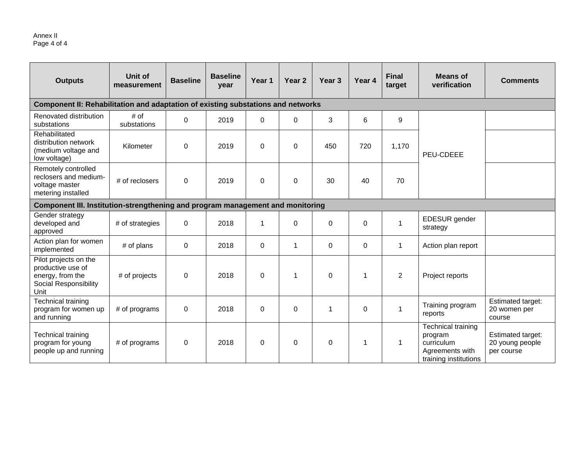### Annex II Page 4 of 4

| <b>Outputs</b>                                                                                  | Unit of<br>measurement | <b>Baseline</b> | <b>Baseline</b><br>year | Year <sub>1</sub> | Year 2      | Year <sub>3</sub> | Year 4   | <b>Final</b><br>target | <b>Means of</b><br>verification                                                                | <b>Comments</b>                                    |
|-------------------------------------------------------------------------------------------------|------------------------|-----------------|-------------------------|-------------------|-------------|-------------------|----------|------------------------|------------------------------------------------------------------------------------------------|----------------------------------------------------|
| Component II: Rehabilitation and adaptation of existing substations and networks                |                        |                 |                         |                   |             |                   |          |                        |                                                                                                |                                                    |
| Renovated distribution<br>substations                                                           | # of<br>substations    | 0               | 2019                    | 0                 | $\mathbf 0$ | 3                 | 6        | 9                      |                                                                                                |                                                    |
| Rehabilitated<br>distribution network<br>(medium voltage and<br>low voltage)                    | Kilometer              | 0               | 2019                    | 0                 | $\mathbf 0$ | 450               | 720      | 1,170                  | PEU-CDEEE                                                                                      |                                                    |
| Remotely controlled<br>reclosers and medium-<br>voltage master<br>metering installed            | # of reclosers         | 0               | 2019                    | $\Omega$          | $\mathbf 0$ | 30                | 40       | 70                     |                                                                                                |                                                    |
| Component III. Institution-strengthening and program management and monitoring                  |                        |                 |                         |                   |             |                   |          |                        |                                                                                                |                                                    |
| Gender strategy<br>developed and<br>approved                                                    | # of strategies        | 0               | 2018                    | $\mathbf 1$       | $\Omega$    | $\Omega$          | $\Omega$ | $\mathbf{1}$           | EDESUR gender<br>strategy                                                                      |                                                    |
| Action plan for women<br>implemented                                                            | # of plans             | 0               | 2018                    | 0                 | 1           | $\Omega$          | $\Omega$ | 1                      | Action plan report                                                                             |                                                    |
| Pilot projects on the<br>productive use of<br>energy, from the<br>Social Responsibility<br>Unit | # of projects          | 0               | 2018                    | $\Omega$          | $\mathbf 1$ | 0                 | 1        | 2                      | Project reports                                                                                |                                                    |
| <b>Technical training</b><br>program for women up<br>and running                                | # of programs          | 0               | 2018                    | 0                 | $\mathbf 0$ | 1                 | 0        | 1                      | Training program<br>reports                                                                    | Estimated target:<br>20 women per<br>course        |
| <b>Technical training</b><br>program for young<br>people up and running                         | # of programs          | 0               | 2018                    | 0                 | $\pmb{0}$   | 0                 | 1        | 1                      | <b>Technical training</b><br>program<br>curriculum<br>Agreements with<br>training institutions | Estimated target:<br>20 young people<br>per course |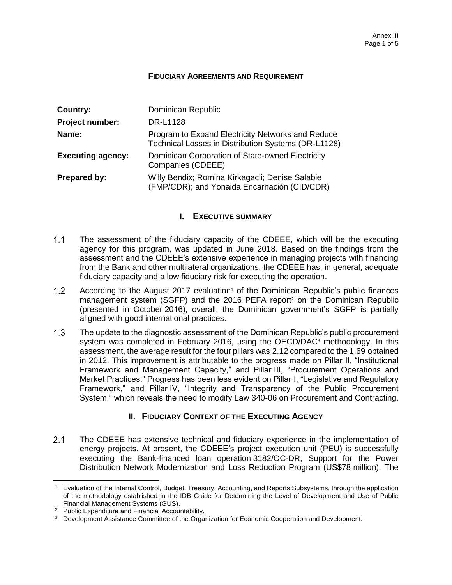### **FIDUCIARY AGREEMENTS AND REQUIREMENT**

| Country:                 | Dominican Republic                                                                                       |
|--------------------------|----------------------------------------------------------------------------------------------------------|
| Project number:          | <b>DR-L1128</b>                                                                                          |
| Name:                    | Program to Expand Electricity Networks and Reduce<br>Technical Losses in Distribution Systems (DR-L1128) |
| <b>Executing agency:</b> | Dominican Corporation of State-owned Electricity<br>Companies (CDEEE)                                    |
| <b>Prepared by:</b>      | Willy Bendix; Romina Kirkagacli; Denise Salabie<br>(FMP/CDR); and Yonaida Encarnación (CID/CDR)          |

### **I. EXECUTIVE SUMMARY**

- $1.1$ The assessment of the fiduciary capacity of the CDEEE, which will be the executing agency for this program, was updated in June 2018. Based on the findings from the assessment and the CDEEE's extensive experience in managing projects with financing from the Bank and other multilateral organizations, the CDEEE has, in general, adequate fiduciary capacity and a low fiduciary risk for executing the operation.
- $1.2<sub>2</sub>$ According to the August 2017 evaluation<sup>1</sup> of the Dominican Republic's public finances management system (SGFP) and the 2016 PEFA report<sup>2</sup> on the Dominican Republic (presented in October 2016), overall, the Dominican government's SGFP is partially aligned with good international practices.
- $1.3$ The update to the diagnostic assessment of the Dominican Republic's public procurement system was completed in February 2016, using the OECD/DAC<sup>3</sup> methodology. In this assessment, the average result for the four pillars was 2.12 compared to the 1.69 obtained in 2012. This improvement is attributable to the progress made on Pillar II, "Institutional Framework and Management Capacity," and Pillar III, "Procurement Operations and Market Practices." Progress has been less evident on Pillar I, "Legislative and Regulatory Framework," and Pillar IV, "Integrity and Transparency of the Public Procurement System," which reveals the need to modify Law 340-06 on Procurement and Contracting.

# **II. FIDUCIARY CONTEXT OF THE EXECUTING AGENCY**

 $2.1$ The CDEEE has extensive technical and fiduciary experience in the implementation of energy projects. At present, the CDEEE's project execution unit (PEU) is successfully executing the Bank-financed loan operation 3182/OC-DR, Support for the Power Distribution Network Modernization and Loss Reduction Program (US\$78 million). The

 <sup>1</sup> Evaluation of the Internal Control, Budget, Treasury, Accounting, and Reports Subsystems, through the application of the methodology established in the IDB Guide for Determining the Level of Development and Use of Public Financial Management Systems (GUS).

<sup>2</sup> Public Expenditure and Financial Accountability.

<sup>&</sup>lt;sup>3</sup> Development Assistance Committee of the Organization for Economic Cooperation and Development.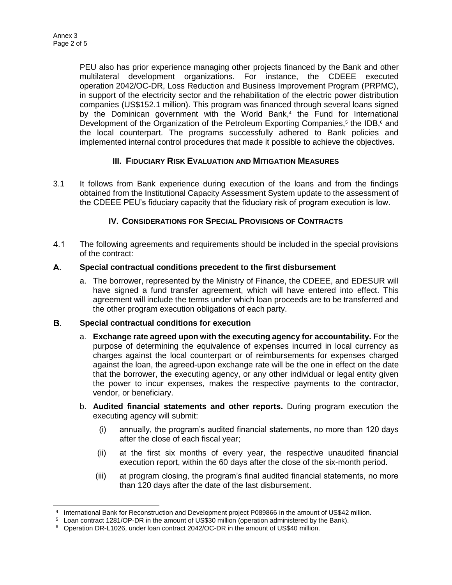PEU also has prior experience managing other projects financed by the Bank and other multilateral development organizations. For instance, the CDEEE executed operation 2042/OC-DR, Loss Reduction and Business Improvement Program (PRPMC), in support of the electricity sector and the rehabilitation of the electric power distribution companies (US\$152.1 million). This program was financed through several loans signed by the Dominican government with the World Bank,<sup>4</sup> the Fund for International Development of the Organization of the Petroleum Exporting Companies,<sup>5</sup> the IDB,<sup>6</sup> and the local counterpart. The programs successfully adhered to Bank policies and implemented internal control procedures that made it possible to achieve the objectives.

# **III. FIDUCIARY RISK EVALUATION AND MITIGATION MEASURES**

3.1 It follows from Bank experience during execution of the loans and from the findings obtained from the Institutional Capacity Assessment System update to the assessment of the CDEEE PEU's fiduciary capacity that the fiduciary risk of program execution is low.

# **IV. CONSIDERATIONS FOR SPECIAL PROVISIONS OF CONTRACTS**

 $4.1$ The following agreements and requirements should be included in the special provisions of the contract:

#### A. **Special contractual conditions precedent to the first disbursement**

a. The borrower, represented by the Ministry of Finance, the CDEEE, and EDESUR will have signed a fund transfer agreement, which will have entered into effect. This agreement will include the terms under which loan proceeds are to be transferred and the other program execution obligations of each party.

#### В. **Special contractual conditions for execution**

- a. **Exchange rate agreed upon with the executing agency for accountability.** For the purpose of determining the equivalence of expenses incurred in local currency as charges against the local counterpart or of reimbursements for expenses charged against the loan, the agreed-upon exchange rate will be the one in effect on the date that the borrower, the executing agency, or any other individual or legal entity given the power to incur expenses, makes the respective payments to the contractor, vendor, or beneficiary.
- b. **Audited financial statements and other reports.** During program execution the executing agency will submit:
	- (i) annually, the program's audited financial statements, no more than 120 days after the close of each fiscal year;
	- (ii) at the first six months of every year, the respective unaudited financial execution report, within the 60 days after the close of the six-month period.
	- (iii) at program closing, the program's final audited financial statements, no more than 120 days after the date of the last disbursement.

 4 International Bank for Reconstruction and Development project P089866 in the amount of US\$42 million.

<sup>5</sup> Loan contract 1281/OP-DR in the amount of US\$30 million (operation administered by the Bank).

<sup>6</sup> Operation DR-L1026, under loan contract 2042/OC-DR in the amount of US\$40 million.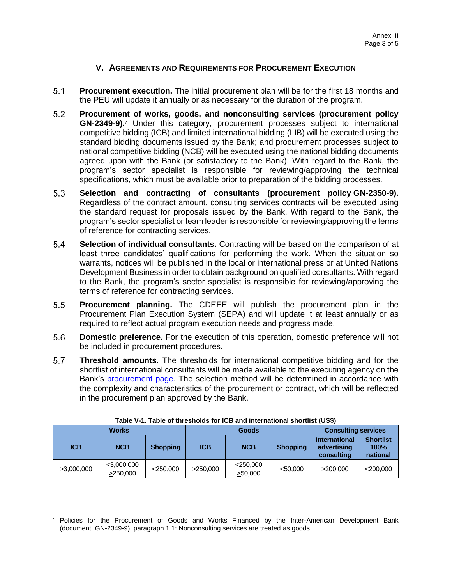### **V. AGREEMENTS AND REQUIREMENTS FOR PROCUREMENT EXECUTION**

- $5.1$ **Procurement execution.** The initial procurement plan will be for the first 18 months and the PEU will update it annually or as necessary for the duration of the program.
- $5.2$ **Procurement of works, goods, and nonconsulting services (procurement policy GN-2349-9).**<sup>7</sup> Under this category, procurement processes subject to international competitive bidding (ICB) and limited international bidding (LIB) will be executed using the standard bidding documents issued by the Bank; and procurement processes subject to national competitive bidding (NCB) will be executed using the national bidding documents agreed upon with the Bank (or satisfactory to the Bank). With regard to the Bank, the program's sector specialist is responsible for reviewing/approving the technical specifications, which must be available prior to preparation of the bidding processes.
- $5.3$ **Selection and contracting of consultants (procurement policy GN-2350-9).** Regardless of the contract amount, consulting services contracts will be executed using the standard request for proposals issued by the Bank. With regard to the Bank, the program's sector specialist or team leader is responsible for reviewing/approving the terms of reference for contracting services.
- $5.4$ **Selection of individual consultants.** Contracting will be based on the comparison of at least three candidates' qualifications for performing the work. When the situation so warrants, notices will be published in the local or international press or at United Nations Development Business in order to obtain background on qualified consultants. With regard to the Bank, the program's sector specialist is responsible for reviewing/approving the terms of reference for contracting services.
- $5.5$ **Procurement planning.** The CDEEE will publish the procurement plan in the Procurement Plan Execution System (SEPA) and will update it at least annually or as required to reflect actual program execution needs and progress made.
- 5.6 **Domestic preference.** For the execution of this operation, domestic preference will not be included in procurement procedures.
- $5.7$ **Threshold amounts.** The thresholds for international competitive bidding and for the shortlist of international consultants will be made available to the executing agency on the Bank's [procurement page.](http://www.iadb.org/procurement) The selection method will be determined in accordance with the complexity and characteristics of the procurement or contract, which will be reflected in the procurement plan approved by the Bank.

|                  | <b>Works</b>              |                 |            | <b>Goods</b>           | <b>Consulting services</b> |                                                   |                                      |
|------------------|---------------------------|-----------------|------------|------------------------|----------------------------|---------------------------------------------------|--------------------------------------|
| <b>ICB</b>       | <b>NCB</b>                | <b>Shopping</b> | <b>ICB</b> | <b>NCB</b>             | <b>Shopping</b>            | <b>International</b><br>advertising<br>consulting | <b>Shortlist</b><br>100%<br>national |
| $\geq 3,000,000$ | $<$ 3,000,000<br>>250,000 | $<$ 250,000     | >250,000   | $<$ 250,000<br>>50,000 | < 50.000                   | >200,000                                          | $<$ 200,000                          |

|  |  | Table V-1. Table of thresholds for ICB and international shortlist (US\$) |  |  |  |  |
|--|--|---------------------------------------------------------------------------|--|--|--|--|
|--|--|---------------------------------------------------------------------------|--|--|--|--|

 $\overline{a}$ 

<sup>7</sup> Policies for the Procurement of Goods and Works Financed by the Inter-American Development Bank (document GN-2349-9), paragraph 1.1: Nonconsulting services are treated as goods.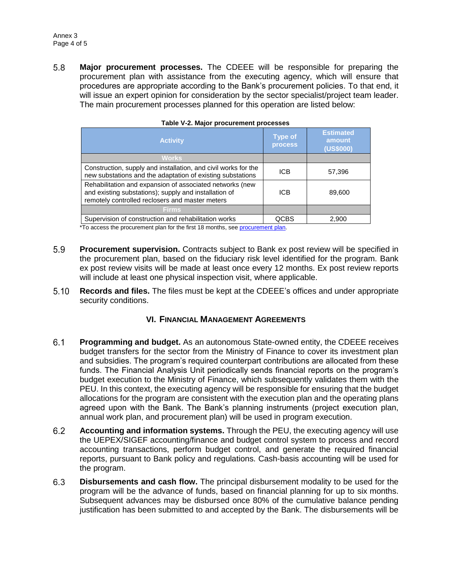5.8 **Major procurement processes.** The CDEEE will be responsible for preparing the procurement plan with assistance from the executing agency, which will ensure that procedures are appropriate according to the Bank's procurement policies. To that end, it will issue an expert opinion for consideration by the sector specialist/project team leader. The main procurement processes planned for this operation are listed below:

| <b>Activity</b>                                                                                                                                                      | <b>Type of</b><br><b>process</b> | <b>Estimated</b><br>amount<br>(US\$000) |
|----------------------------------------------------------------------------------------------------------------------------------------------------------------------|----------------------------------|-----------------------------------------|
| <b>Works</b>                                                                                                                                                         |                                  |                                         |
| Construction, supply and installation, and civil works for the<br>new substations and the adaptation of existing substations                                         | <b>ICB</b>                       | 57,396                                  |
| Rehabilitation and expansion of associated networks (new<br>and existing substations); supply and installation of<br>remotely controlled reclosers and master meters | <b>ICB</b>                       | 89,600                                  |
| <b>Firms</b>                                                                                                                                                         |                                  |                                         |
| Supervision of construction and rehabilitation works                                                                                                                 | <b>OCBS</b>                      | 2,900                                   |

|  | Table V-2. Major procurement processes |
|--|----------------------------------------|
|--|----------------------------------------|

\*To access the procurement plan for the first 18 months, se[e procurement plan.](http://idbdocs.iadb.org/wsdocs/getDocument.aspx?DOCNUM=EZSHARE-1070525477-25)

- 5.9 **Procurement supervision.** Contracts subject to Bank ex post review will be specified in the procurement plan, based on the fiduciary risk level identified for the program. Bank ex post review visits will be made at least once every 12 months. Ex post review reports will include at least one physical inspection visit, where applicable.
- $5.10$ **Records and files.** The files must be kept at the CDEEE's offices and under appropriate security conditions.

### **VI. FINANCIAL MANAGEMENT AGREEMENTS**

- $6.1$ **Programming and budget.** As an autonomous State-owned entity, the CDEEE receives budget transfers for the sector from the Ministry of Finance to cover its investment plan and subsidies. The program's required counterpart contributions are allocated from these funds. The Financial Analysis Unit periodically sends financial reports on the program's budget execution to the Ministry of Finance, which subsequently validates them with the PEU. In this context, the executing agency will be responsible for ensuring that the budget allocations for the program are consistent with the execution plan and the operating plans agreed upon with the Bank. The Bank's planning instruments (project execution plan, annual work plan, and procurement plan) will be used in program execution.
- $6.2$ **Accounting and information systems.** Through the PEU, the executing agency will use the UEPEX/SIGEF accounting/finance and budget control system to process and record accounting transactions, perform budget control, and generate the required financial reports, pursuant to Bank policy and regulations. Cash-basis accounting will be used for the program.
- 6.3 **Disbursements and cash flow.** The principal disbursement modality to be used for the program will be the advance of funds, based on financial planning for up to six months. Subsequent advances may be disbursed once 80% of the cumulative balance pending justification has been submitted to and accepted by the Bank. The disbursements will be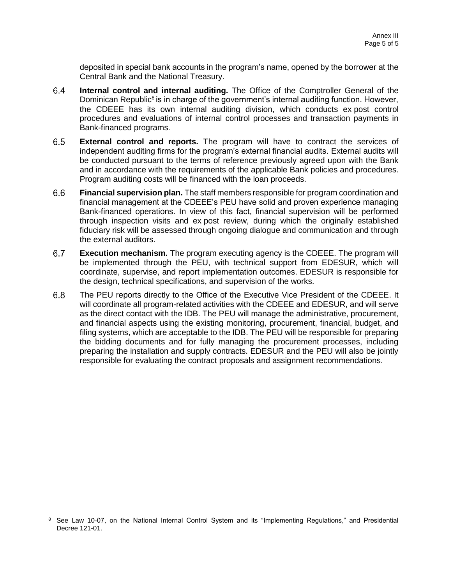deposited in special bank accounts in the program's name, opened by the borrower at the Central Bank and the National Treasury.

- **Internal control and internal auditing.** The Office of the Comptroller General of the  $6.4$ Dominican Republic<sup>8</sup> is in charge of the government's internal auditing function. However, the CDEEE has its own internal auditing division, which conducts ex post control procedures and evaluations of internal control processes and transaction payments in Bank-financed programs.
- $6.5$ **External control and reports.** The program will have to contract the services of independent auditing firms for the program's external financial audits. External audits will be conducted pursuant to the terms of reference previously agreed upon with the Bank and in accordance with the requirements of the applicable Bank policies and procedures. Program auditing costs will be financed with the loan proceeds.
- 6.6 **Financial supervision plan.** The staff members responsible for program coordination and financial management at the CDEEE's PEU have solid and proven experience managing Bank-financed operations. In view of this fact, financial supervision will be performed through inspection visits and ex post review, during which the originally established fiduciary risk will be assessed through ongoing dialogue and communication and through the external auditors.
- $6.7$ **Execution mechanism.** The program executing agency is the CDEEE. The program will be implemented through the PEU, with technical support from EDESUR, which will coordinate, supervise, and report implementation outcomes. EDESUR is responsible for the design, technical specifications, and supervision of the works.
- $6.8$ The PEU reports directly to the Office of the Executive Vice President of the CDEEE. It will coordinate all program-related activities with the CDEEE and EDESUR, and will serve as the direct contact with the IDB. The PEU will manage the administrative, procurement, and financial aspects using the existing monitoring, procurement, financial, budget, and filing systems, which are acceptable to the IDB. The PEU will be responsible for preparing the bidding documents and for fully managing the procurement processes, including preparing the installation and supply contracts. EDESUR and the PEU will also be jointly responsible for evaluating the contract proposals and assignment recommendations.

 $\overline{a}$ 

<sup>8</sup> See Law 10-07, on the National Internal Control System and its "Implementing Regulations," and Presidential Decree 121-01.